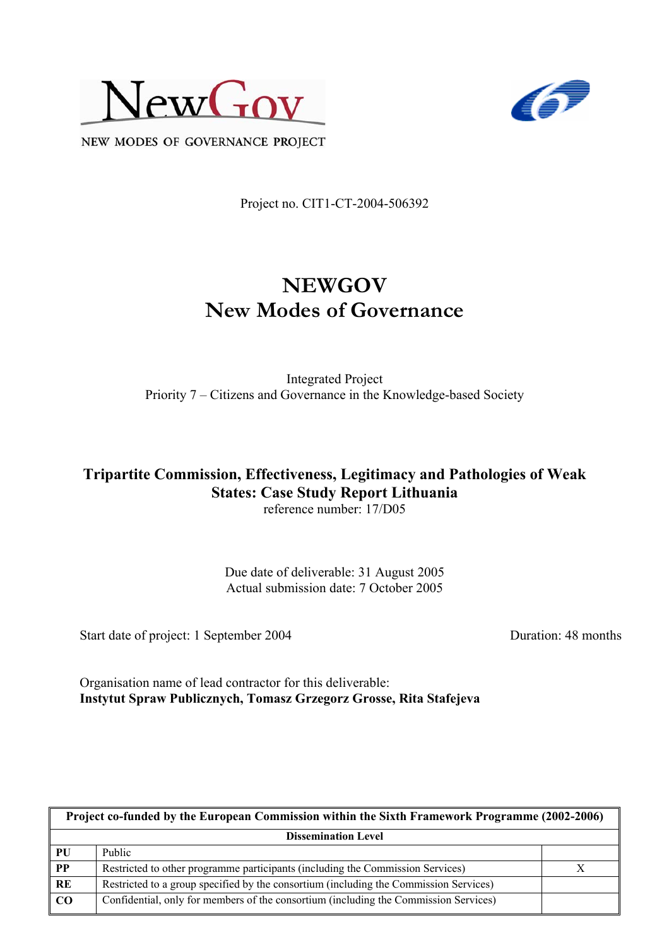



NEW MODES OF GOVERNANCE PROJECT

Project no. CIT1-CT-2004-506392

# **NEWGOV New Modes of Governance**

Integrated Project Priority 7 – Citizens and Governance in the Knowledge-based Society

#### **Tripartite Commission, Effectiveness, Legitimacy and Pathologies of Weak States: Case Study Report Lithuania**  reference number: 17/D05

Due date of deliverable: 31 August 2005 Actual submission date: 7 October 2005

Start date of project: 1 September 2004 Duration: 48 months

Organisation name of lead contractor for this deliverable: **Instytut Spraw Publicznych, Tomasz Grzegorz Grosse, Rita Stafejeva** 

| Project co-funded by the European Commission within the Sixth Framework Programme (2002-2006) |                                                                                       |  |  |
|-----------------------------------------------------------------------------------------------|---------------------------------------------------------------------------------------|--|--|
| <b>Dissemination Level</b>                                                                    |                                                                                       |  |  |
| PU                                                                                            | <b>Public</b>                                                                         |  |  |
| $\overline{PP}$                                                                               | Restricted to other programme participants (including the Commission Services)        |  |  |
| RE                                                                                            | Restricted to a group specified by the consortium (including the Commission Services) |  |  |
| $\bf CO$                                                                                      | Confidential, only for members of the consortium (including the Commission Services)  |  |  |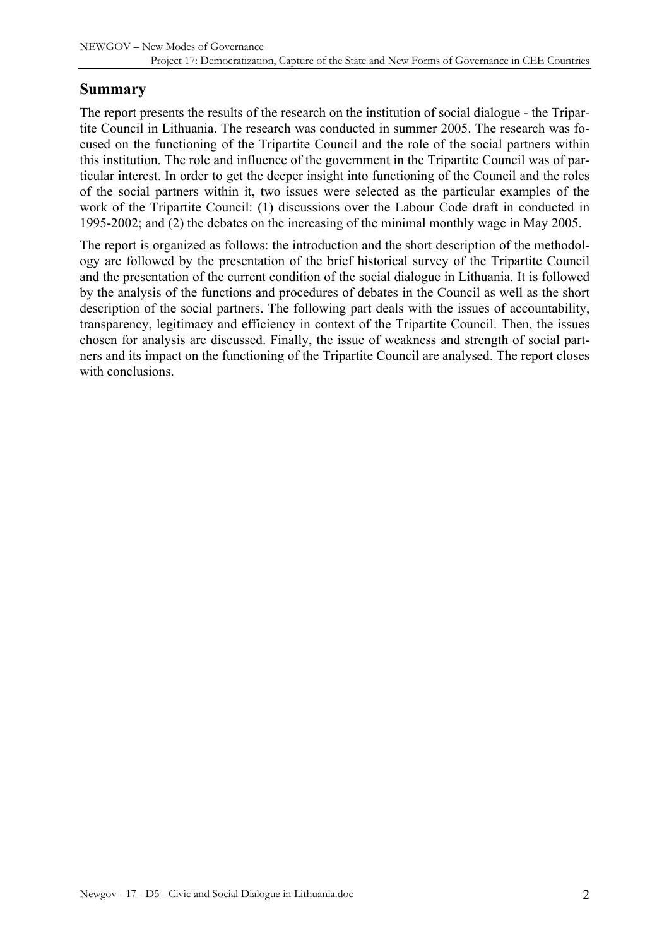### **Summary**

The report presents the results of the research on the institution of social dialogue - the Tripartite Council in Lithuania. The research was conducted in summer 2005. The research was focused on the functioning of the Tripartite Council and the role of the social partners within this institution. The role and influence of the government in the Tripartite Council was of particular interest. In order to get the deeper insight into functioning of the Council and the roles of the social partners within it, two issues were selected as the particular examples of the work of the Tripartite Council: (1) discussions over the Labour Code draft in conducted in 1995-2002; and (2) the debates on the increasing of the minimal monthly wage in May 2005.

The report is organized as follows: the introduction and the short description of the methodology are followed by the presentation of the brief historical survey of the Tripartite Council and the presentation of the current condition of the social dialogue in Lithuania. It is followed by the analysis of the functions and procedures of debates in the Council as well as the short description of the social partners. The following part deals with the issues of accountability, transparency, legitimacy and efficiency in context of the Tripartite Council. Then, the issues chosen for analysis are discussed. Finally, the issue of weakness and strength of social partners and its impact on the functioning of the Tripartite Council are analysed. The report closes with conclusions.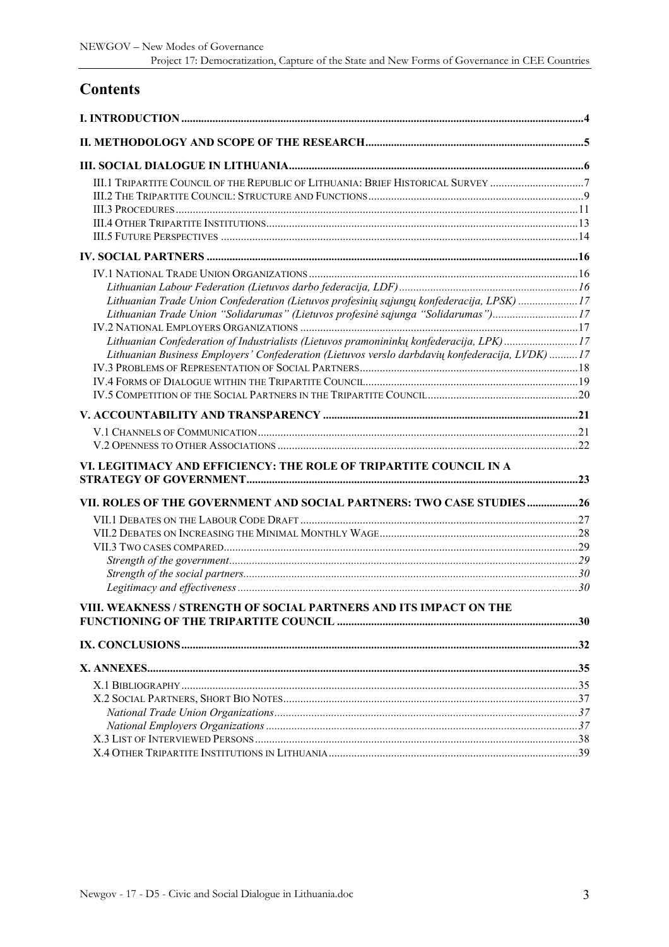# **Contents**

| III.1 TRIPARTITE COUNCIL OF THE REPUBLIC OF LITHUANIA: BRIEF HISTORICAL SURVEY 7                                                                                                                                                                                                                                                                                             |  |
|------------------------------------------------------------------------------------------------------------------------------------------------------------------------------------------------------------------------------------------------------------------------------------------------------------------------------------------------------------------------------|--|
|                                                                                                                                                                                                                                                                                                                                                                              |  |
| Lithuanian Trade Union Confederation (Lietuvos profesinių sąjungų konfederacija, LPSK) 17<br>Lithuanian Trade Union "Solidarumas" (Lietuvos profesinė sąjunga "Solidarumas")17<br>Lithuanian Confederation of Industrialists (Lietuvos pramonininkų konfederacija, LPK)17<br>Lithuanian Business Employers' Confederation (Lietuvos verslo darbdavių konfederacija, LVDK) 17 |  |
|                                                                                                                                                                                                                                                                                                                                                                              |  |
|                                                                                                                                                                                                                                                                                                                                                                              |  |
| VI. LEGITIMACY AND EFFICIENCY: THE ROLE OF TRIPARTITE COUNCIL IN A<br>VII. ROLES OF THE GOVERNMENT AND SOCIAL PARTNERS: TWO CASE STUDIES26                                                                                                                                                                                                                                   |  |
| VIII. WEAKNESS / STRENGTH OF SOCIAL PARTNERS AND ITS IMPACT ON THE                                                                                                                                                                                                                                                                                                           |  |
|                                                                                                                                                                                                                                                                                                                                                                              |  |
|                                                                                                                                                                                                                                                                                                                                                                              |  |
|                                                                                                                                                                                                                                                                                                                                                                              |  |
|                                                                                                                                                                                                                                                                                                                                                                              |  |
|                                                                                                                                                                                                                                                                                                                                                                              |  |
|                                                                                                                                                                                                                                                                                                                                                                              |  |
|                                                                                                                                                                                                                                                                                                                                                                              |  |
|                                                                                                                                                                                                                                                                                                                                                                              |  |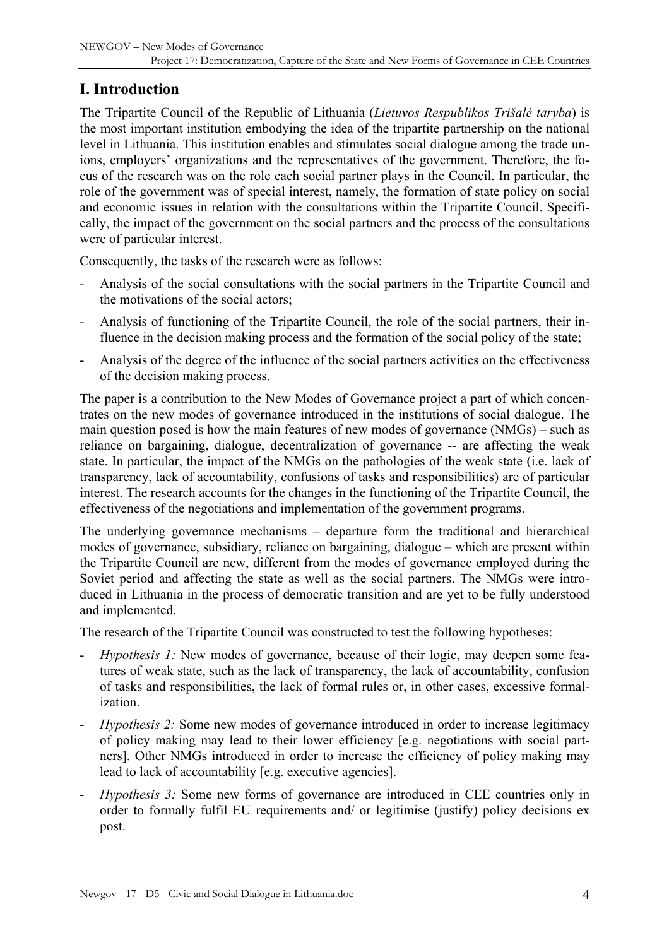# <span id="page-3-0"></span>**I. Introduction**

The Tripartite Council of the Republic of Lithuania (*Lietuvos Respublikos Trišalė taryba*) is the most important institution embodying the idea of the tripartite partnership on the national level in Lithuania. This institution enables and stimulates social dialogue among the trade unions, employers' organizations and the representatives of the government. Therefore, the focus of the research was on the role each social partner plays in the Council. In particular, the role of the government was of special interest, namely, the formation of state policy on social and economic issues in relation with the consultations within the Tripartite Council. Specifically, the impact of the government on the social partners and the process of the consultations were of particular interest.

Consequently, the tasks of the research were as follows:

- Analysis of the social consultations with the social partners in the Tripartite Council and the motivations of the social actors;
- Analysis of functioning of the Tripartite Council, the role of the social partners, their influence in the decision making process and the formation of the social policy of the state;
- Analysis of the degree of the influence of the social partners activities on the effectiveness of the decision making process.

The paper is a contribution to the New Modes of Governance project a part of which concentrates on the new modes of governance introduced in the institutions of social dialogue. The main question posed is how the main features of new modes of governance (NMGs) – such as reliance on bargaining, dialogue, decentralization of governance -- are affecting the weak state. In particular, the impact of the NMGs on the pathologies of the weak state (i.e. lack of transparency, lack of accountability, confusions of tasks and responsibilities) are of particular interest. The research accounts for the changes in the functioning of the Tripartite Council, the effectiveness of the negotiations and implementation of the government programs.

The underlying governance mechanisms – departure form the traditional and hierarchical modes of governance, subsidiary, reliance on bargaining, dialogue – which are present within the Tripartite Council are new, different from the modes of governance employed during the Soviet period and affecting the state as well as the social partners. The NMGs were introduced in Lithuania in the process of democratic transition and are yet to be fully understood and implemented.

The research of the Tripartite Council was constructed to test the following hypotheses:

- *Hypothesis 1:* New modes of governance, because of their logic, may deepen some features of weak state, such as the lack of transparency, the lack of accountability, confusion of tasks and responsibilities, the lack of formal rules or, in other cases, excessive formalization.
- *Hypothesis 2:* Some new modes of governance introduced in order to increase legitimacy of policy making may lead to their lower efficiency [e.g. negotiations with social partners]. Other NMGs introduced in order to increase the efficiency of policy making may lead to lack of accountability [e.g. executive agencies].
- *Hypothesis 3:* Some new forms of governance are introduced in CEE countries only in order to formally fulfil EU requirements and/ or legitimise (justify) policy decisions ex post.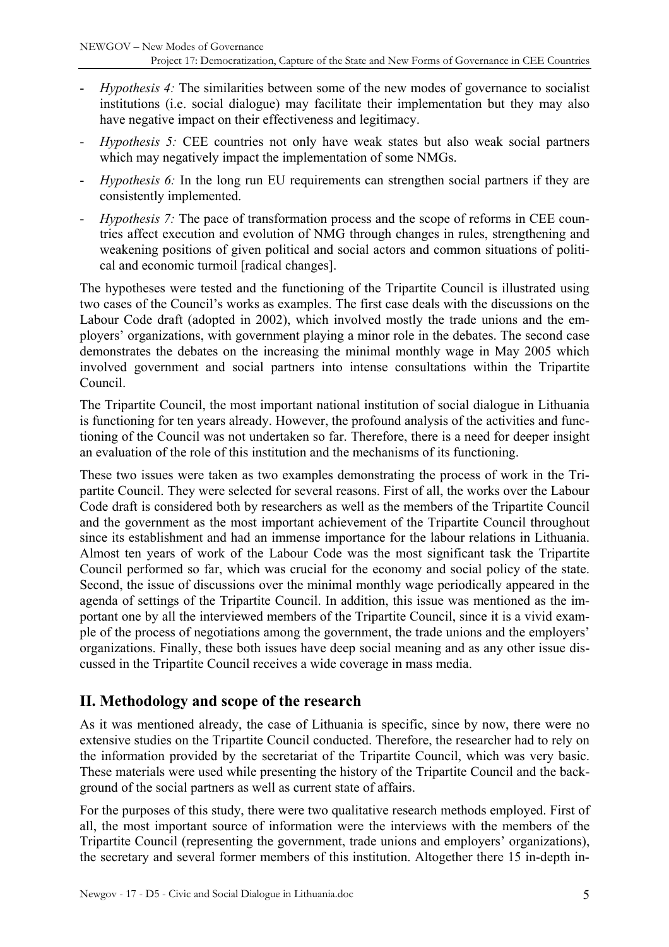- <span id="page-4-0"></span>*Hypothesis 4:* The similarities between some of the new modes of governance to socialist institutions (i.e. social dialogue) may facilitate their implementation but they may also have negative impact on their effectiveness and legitimacy.
- *Hypothesis 5:* CEE countries not only have weak states but also weak social partners which may negatively impact the implementation of some NMGs.
- *Hypothesis 6:* In the long run EU requirements can strengthen social partners if they are consistently implemented.
- *Hypothesis 7:* The pace of transformation process and the scope of reforms in CEE countries affect execution and evolution of NMG through changes in rules, strengthening and weakening positions of given political and social actors and common situations of political and economic turmoil [radical changes].

The hypotheses were tested and the functioning of the Tripartite Council is illustrated using two cases of the Council's works as examples. The first case deals with the discussions on the Labour Code draft (adopted in 2002), which involved mostly the trade unions and the employers' organizations, with government playing a minor role in the debates. The second case demonstrates the debates on the increasing the minimal monthly wage in May 2005 which involved government and social partners into intense consultations within the Tripartite Council.

The Tripartite Council, the most important national institution of social dialogue in Lithuania is functioning for ten years already. However, the profound analysis of the activities and functioning of the Council was not undertaken so far. Therefore, there is a need for deeper insight an evaluation of the role of this institution and the mechanisms of its functioning.

These two issues were taken as two examples demonstrating the process of work in the Tripartite Council. They were selected for several reasons. First of all, the works over the Labour Code draft is considered both by researchers as well as the members of the Tripartite Council and the government as the most important achievement of the Tripartite Council throughout since its establishment and had an immense importance for the labour relations in Lithuania. Almost ten years of work of the Labour Code was the most significant task the Tripartite Council performed so far, which was crucial for the economy and social policy of the state. Second, the issue of discussions over the minimal monthly wage periodically appeared in the agenda of settings of the Tripartite Council. In addition, this issue was mentioned as the important one by all the interviewed members of the Tripartite Council, since it is a vivid example of the process of negotiations among the government, the trade unions and the employers' organizations. Finally, these both issues have deep social meaning and as any other issue discussed in the Tripartite Council receives a wide coverage in mass media.

# **II. Methodology and scope of the research**

As it was mentioned already, the case of Lithuania is specific, since by now, there were no extensive studies on the Tripartite Council conducted. Therefore, the researcher had to rely on the information provided by the secretariat of the Tripartite Council, which was very basic. These materials were used while presenting the history of the Tripartite Council and the background of the social partners as well as current state of affairs.

For the purposes of this study, there were two qualitative research methods employed. First of all, the most important source of information were the interviews with the members of the Tripartite Council (representing the government, trade unions and employers' organizations), the secretary and several former members of this institution. Altogether there 15 in-depth in-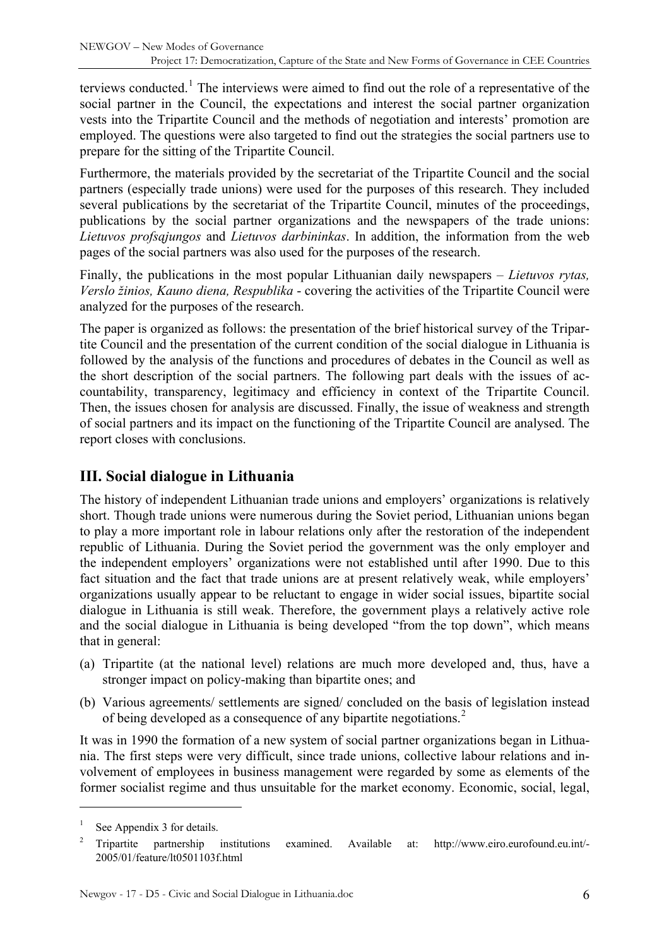<span id="page-5-0"></span>terviews conducted.<sup>[1](#page-5-1)</sup> The interviews were aimed to find out the role of a representative of the social partner in the Council, the expectations and interest the social partner organization vests into the Tripartite Council and the methods of negotiation and interests' promotion are employed. The questions were also targeted to find out the strategies the social partners use to prepare for the sitting of the Tripartite Council.

Furthermore, the materials provided by the secretariat of the Tripartite Council and the social partners (especially trade unions) were used for the purposes of this research. They included several publications by the secretariat of the Tripartite Council, minutes of the proceedings, publications by the social partner organizations and the newspapers of the trade unions: *Lietuvos profsąjungos* and *Lietuvos darbininkas*. In addition, the information from the web pages of the social partners was also used for the purposes of the research.

Finally, the publications in the most popular Lithuanian daily newspapers – *Lietuvos rytas, Verslo žinios, Kauno diena, Respublika* - covering the activities of the Tripartite Council were analyzed for the purposes of the research.

The paper is organized as follows: the presentation of the brief historical survey of the Tripartite Council and the presentation of the current condition of the social dialogue in Lithuania is followed by the analysis of the functions and procedures of debates in the Council as well as the short description of the social partners. The following part deals with the issues of accountability, transparency, legitimacy and efficiency in context of the Tripartite Council. Then, the issues chosen for analysis are discussed. Finally, the issue of weakness and strength of social partners and its impact on the functioning of the Tripartite Council are analysed. The report closes with conclusions.

# **III. Social dialogue in Lithuania**

The history of independent Lithuanian trade unions and employers' organizations is relatively short. Though trade unions were numerous during the Soviet period, Lithuanian unions began to play a more important role in labour relations only after the restoration of the independent republic of Lithuania. During the Soviet period the government was the only employer and the independent employers' organizations were not established until after 1990. Due to this fact situation and the fact that trade unions are at present relatively weak, while employers' organizations usually appear to be reluctant to engage in wider social issues, bipartite social dialogue in Lithuania is still weak. Therefore, the government plays a relatively active role and the social dialogue in Lithuania is being developed "from the top down", which means that in general:

- (a) Tripartite (at the national level) relations are much more developed and, thus, have a stronger impact on policy-making than bipartite ones; and
- (b) Various agreements/ settlements are signed/ concluded on the basis of legislation instead of being developed as a consequence of any bipartite negotiations.<sup>[2](#page-5-2)</sup>

It was in 1990 the formation of a new system of social partner organizations began in Lithuania. The first steps were very difficult, since trade unions, collective labour relations and involvement of employees in business management were regarded by some as elements of the former socialist regime and thus unsuitable for the market economy. Economic, social, legal,

<span id="page-5-1"></span><sup>1</sup> See Appendix 3 for details.

<span id="page-5-2"></span><sup>2</sup> Tripartite partnership institutions examined. Available at: http://www.eiro.eurofound.eu.int/- 2005/01/feature/lt0501103f.html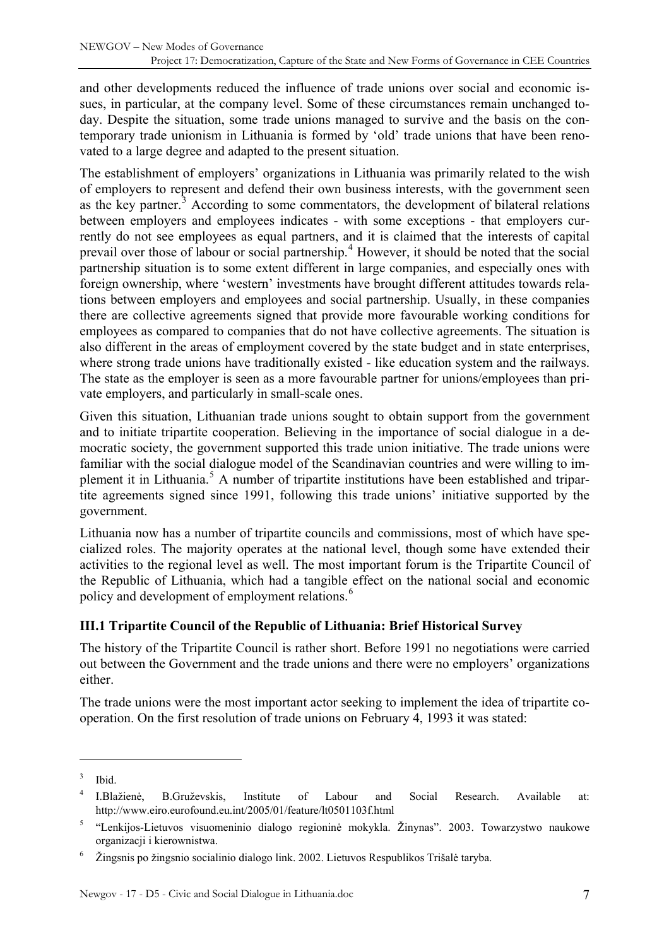<span id="page-6-0"></span>and other developments reduced the influence of trade unions over social and economic issues, in particular, at the company level. Some of these circumstances remain unchanged today. Despite the situation, some trade unions managed to survive and the basis on the contemporary trade unionism in Lithuania is formed by 'old' trade unions that have been renovated to a large degree and adapted to the present situation.

The establishment of employers' organizations in Lithuania was primarily related to the wish of employers to represent and defend their own business interests, with the government seen as the key partner. $3$  According to some commentators, the development of bilateral relations between employers and employees indicates - with some exceptions - that employers currently do not see employees as equal partners, and it is claimed that the interests of capital prevail over those of labour or social partnership.<sup>[4](#page-6-2)</sup> However, it should be noted that the social partnership situation is to some extent different in large companies, and especially ones with foreign ownership, where 'western' investments have brought different attitudes towards relations between employers and employees and social partnership. Usually, in these companies there are collective agreements signed that provide more favourable working conditions for employees as compared to companies that do not have collective agreements. The situation is also different in the areas of employment covered by the state budget and in state enterprises, where strong trade unions have traditionally existed - like education system and the railways. The state as the employer is seen as a more favourable partner for unions/employees than private employers, and particularly in small-scale ones.

Given this situation, Lithuanian trade unions sought to obtain support from the government and to initiate tripartite cooperation. Believing in the importance of social dialogue in a democratic society, the government supported this trade union initiative. The trade unions were familiar with the social dialogue model of the Scandinavian countries and were willing to im-plement it in Lithuania.<sup>[5](#page-6-3)</sup> A number of tripartite institutions have been established and tripartite agreements signed since 1991, following this trade unions' initiative supported by the government.

Lithuania now has a number of tripartite councils and commissions, most of which have specialized roles. The majority operates at the national level, though some have extended their activities to the regional level as well. The most important forum is the Tripartite Council of the Republic of Lithuania, which had a tangible effect on the national social and economic policy and development of employment relations.<sup>[6](#page-6-4)</sup>

### **III.1 Tripartite Council of the Republic of Lithuania: Brief Historical Survey**

The history of the Tripartite Council is rather short. Before 1991 no negotiations were carried out between the Government and the trade unions and there were no employers' organizations either.

The trade unions were the most important actor seeking to implement the idea of tripartite cooperation. On the first resolution of trade unions on February 4, 1993 it was stated:

<span id="page-6-1"></span><sup>3</sup> Ibid.

<span id="page-6-2"></span><sup>4</sup> I.Blažienė, B.Gruževskis, Institute of Labour and Social Research. Available at: http://www.eiro.eurofound.eu.int/2005/01/feature/lt0501103f.html

<span id="page-6-3"></span><sup>5</sup> "Lenkijos-Lietuvos visuomeninio dialogo regioninė mokykla. Žinynas". 2003. Towarzystwo naukowe organizacji i kierownistwa.

<span id="page-6-4"></span><sup>6</sup> Žingsnis po žingsnio socialinio dialogo link. 2002. Lietuvos Respublikos Trišalė taryba.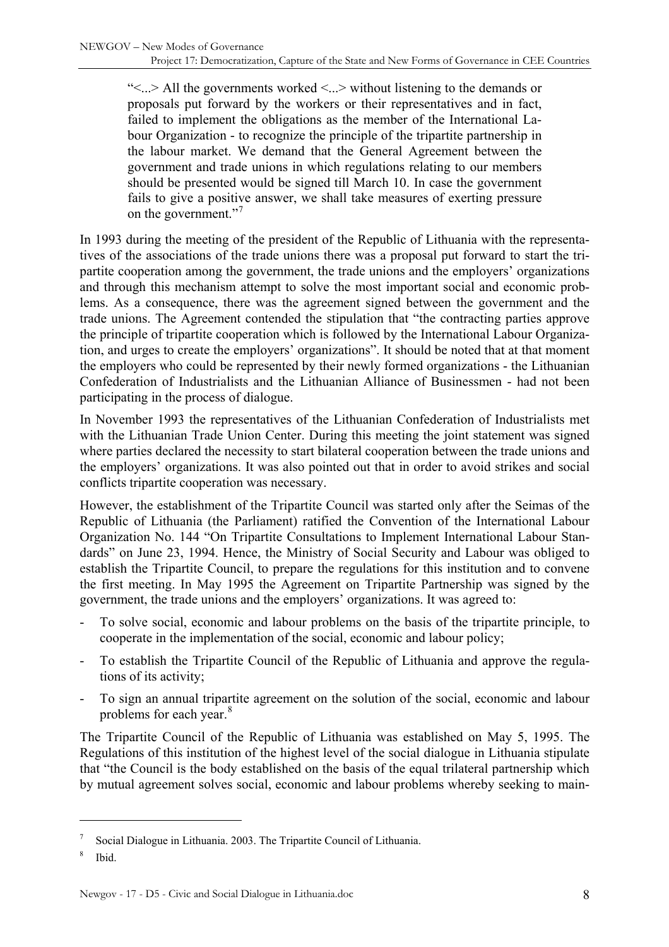"<...> All the governments worked <...> without listening to the demands or proposals put forward by the workers or their representatives and in fact, failed to implement the obligations as the member of the International Labour Organization - to recognize the principle of the tripartite partnership in the labour market. We demand that the General Agreement between the government and trade unions in which regulations relating to our members should be presented would be signed till March 10. In case the government fails to give a positive answer, we shall take measures of exerting pressure on the government."<sup>[7](#page-7-0)</sup>

In 1993 during the meeting of the president of the Republic of Lithuania with the representatives of the associations of the trade unions there was a proposal put forward to start the tripartite cooperation among the government, the trade unions and the employers' organizations and through this mechanism attempt to solve the most important social and economic problems. As a consequence, there was the agreement signed between the government and the trade unions. The Agreement contended the stipulation that "the contracting parties approve the principle of tripartite cooperation which is followed by the International Labour Organization, and urges to create the employers' organizations". It should be noted that at that moment the employers who could be represented by their newly formed organizations - the Lithuanian Confederation of Industrialists and the Lithuanian Alliance of Businessmen - had not been participating in the process of dialogue.

In November 1993 the representatives of the Lithuanian Confederation of Industrialists met with the Lithuanian Trade Union Center. During this meeting the joint statement was signed where parties declared the necessity to start bilateral cooperation between the trade unions and the employers' organizations. It was also pointed out that in order to avoid strikes and social conflicts tripartite cooperation was necessary.

However, the establishment of the Tripartite Council was started only after the Seimas of the Republic of Lithuania (the Parliament) ratified the Convention of the International Labour Organization No. 144 "On Tripartite Consultations to Implement International Labour Standards" on June 23, 1994. Hence, the Ministry of Social Security and Labour was obliged to establish the Tripartite Council, to prepare the regulations for this institution and to convene the first meeting. In May 1995 the Agreement on Tripartite Partnership was signed by the government, the trade unions and the employers' organizations. It was agreed to:

- To solve social, economic and labour problems on the basis of the tripartite principle, to cooperate in the implementation of the social, economic and labour policy;
- To establish the Tripartite Council of the Republic of Lithuania and approve the regulations of its activity;
- To sign an annual tripartite agreement on the solution of the social, economic and labour problems for each year.<sup>[8](#page-7-1)</sup>

The Tripartite Council of the Republic of Lithuania was established on May 5, 1995. The Regulations of this institution of the highest level of the social dialogue in Lithuania stipulate that "the Council is the body established on the basis of the equal trilateral partnership which by mutual agreement solves social, economic and labour problems whereby seeking to main-

<span id="page-7-0"></span><sup>7</sup> Social Dialogue in Lithuania. 2003. The Tripartite Council of Lithuania.

<span id="page-7-1"></span><sup>8</sup> Ibid.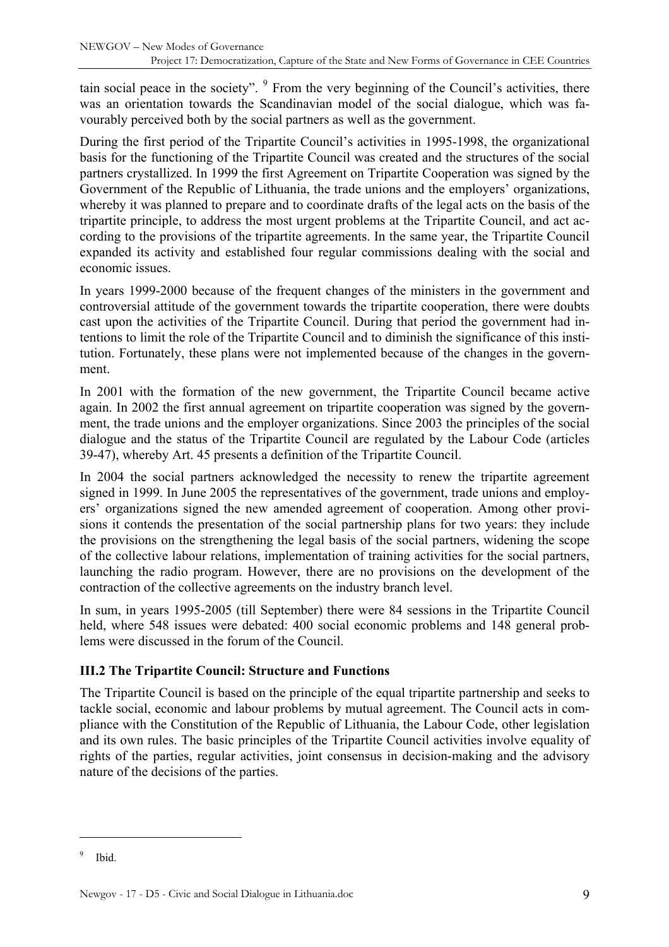<span id="page-8-0"></span>tain social peace in the society". <sup>[9](#page-8-1)</sup> From the very beginning of the Council's activities, there was an orientation towards the Scandinavian model of the social dialogue, which was favourably perceived both by the social partners as well as the government.

During the first period of the Tripartite Council's activities in 1995-1998, the organizational basis for the functioning of the Tripartite Council was created and the structures of the social partners crystallized. In 1999 the first Agreement on Tripartite Cooperation was signed by the Government of the Republic of Lithuania, the trade unions and the employers' organizations, whereby it was planned to prepare and to coordinate drafts of the legal acts on the basis of the tripartite principle, to address the most urgent problems at the Tripartite Council, and act according to the provisions of the tripartite agreements. In the same year, the Tripartite Council expanded its activity and established four regular commissions dealing with the social and economic issues.

In years 1999-2000 because of the frequent changes of the ministers in the government and controversial attitude of the government towards the tripartite cooperation, there were doubts cast upon the activities of the Tripartite Council. During that period the government had intentions to limit the role of the Tripartite Council and to diminish the significance of this institution. Fortunately, these plans were not implemented because of the changes in the government.

In 2001 with the formation of the new government, the Tripartite Council became active again. In 2002 the first annual agreement on tripartite cooperation was signed by the government, the trade unions and the employer organizations. Since 2003 the principles of the social dialogue and the status of the Tripartite Council are regulated by the Labour Code (articles 39-47), whereby Art. 45 presents a definition of the Tripartite Council.

In 2004 the social partners acknowledged the necessity to renew the tripartite agreement signed in 1999. In June 2005 the representatives of the government, trade unions and employers' organizations signed the new amended agreement of cooperation. Among other provisions it contends the presentation of the social partnership plans for two years: they include the provisions on the strengthening the legal basis of the social partners, widening the scope of the collective labour relations, implementation of training activities for the social partners, launching the radio program. However, there are no provisions on the development of the contraction of the collective agreements on the industry branch level.

In sum, in years 1995-2005 (till September) there were 84 sessions in the Tripartite Council held, where 548 issues were debated: 400 social economic problems and 148 general problems were discussed in the forum of the Council.

### **III.2 The Tripartite Council: Structure and Functions**

The Tripartite Council is based on the principle of the equal tripartite partnership and seeks to tackle social, economic and labour problems by mutual agreement. The Council acts in compliance with the Constitution of the Republic of Lithuania, the Labour Code, other legislation and its own rules. The basic principles of the Tripartite Council activities involve equality of rights of the parties, regular activities, joint consensus in decision-making and the advisory nature of the decisions of the parties.

<span id="page-8-1"></span><sup>9</sup> Ibid.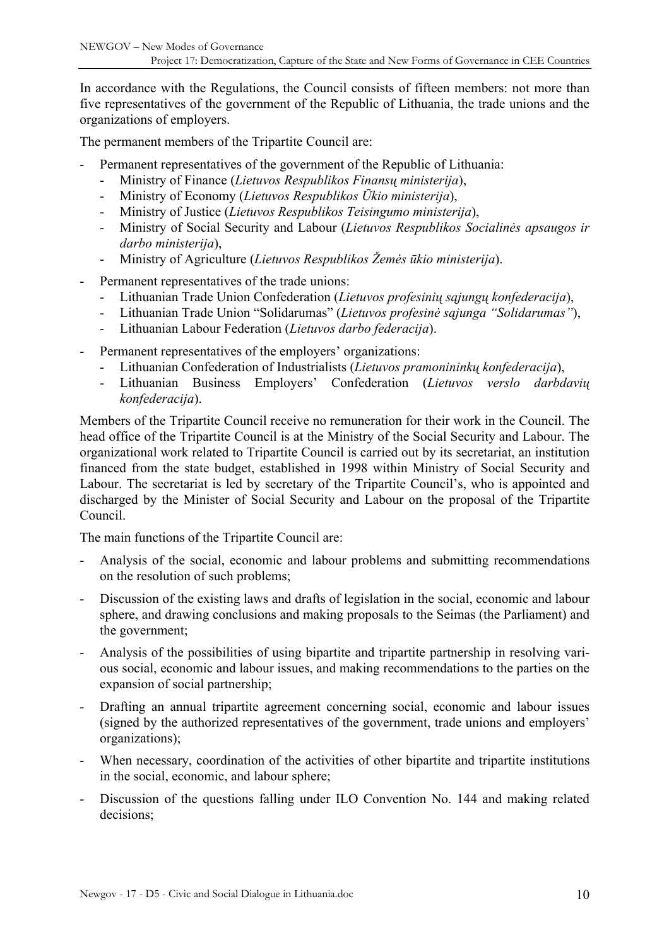In accordance with the Regulations, the Council consists of fifteen members: not more than five representatives of the government of the Republic of Lithuania, the trade unions and the organizations of employers.

The permanent members of the Tripartite Council are:

- Permanent representatives of the government of the Republic of Lithuania:
	- Ministry of Finance (*Lietuvos Respublikos Finansų ministerija*),
	- Ministry of Economy (*Lietuvos Respublikos Ūkio ministerija*),
	- Ministry of Justice (*Lietuvos Respublikos Teisingumo ministerija*),
	- Ministry of Social Security and Labour (*Lietuvos Respublikos Socialinės apsaugos ir darbo ministerija*),
	- Ministry of Agriculture (*Lietuvos Respublikos Žemės ūkio ministerija*).
- Permanent representatives of the trade unions:
	- Lithuanian Trade Union Confederation (*Lietuvos profesinių sąjungų konfederacija*),
	- Lithuanian Trade Union "Solidarumas" (*Lietuvos profesinė sąjunga "Solidarumas"*),
	- Lithuanian Labour Federation (*Lietuvos darbo federacija*).
- Permanent representatives of the employers' organizations:
	- Lithuanian Confederation of Industrialists (*Lietuvos pramonininkų konfederacija*),
	- Lithuanian Business Employers' Confederation (*Lietuvos verslo darbdavių konfederacija*).

Members of the Tripartite Council receive no remuneration for their work in the Council. The head office of the Tripartite Council is at the Ministry of the Social Security and Labour. The organizational work related to Tripartite Council is carried out by its secretariat, an institution financed from the state budget, established in 1998 within Ministry of Social Security and Labour. The secretariat is led by secretary of the Tripartite Council's, who is appointed and discharged by the Minister of Social Security and Labour on the proposal of the Tripartite Council.

The main functions of the Tripartite Council are:

- Analysis of the social, economic and labour problems and submitting recommendations on the resolution of such problems;
- Discussion of the existing laws and drafts of legislation in the social, economic and labour sphere, and drawing conclusions and making proposals to the Seimas (the Parliament) and the government;
- Analysis of the possibilities of using bipartite and tripartite partnership in resolving various social, economic and labour issues, and making recommendations to the parties on the expansion of social partnership;
- Drafting an annual tripartite agreement concerning social, economic and labour issues (signed by the authorized representatives of the government, trade unions and employers' organizations);
- When necessary, coordination of the activities of other bipartite and tripartite institutions in the social, economic, and labour sphere;
- Discussion of the questions falling under ILO Convention No. 144 and making related decisions;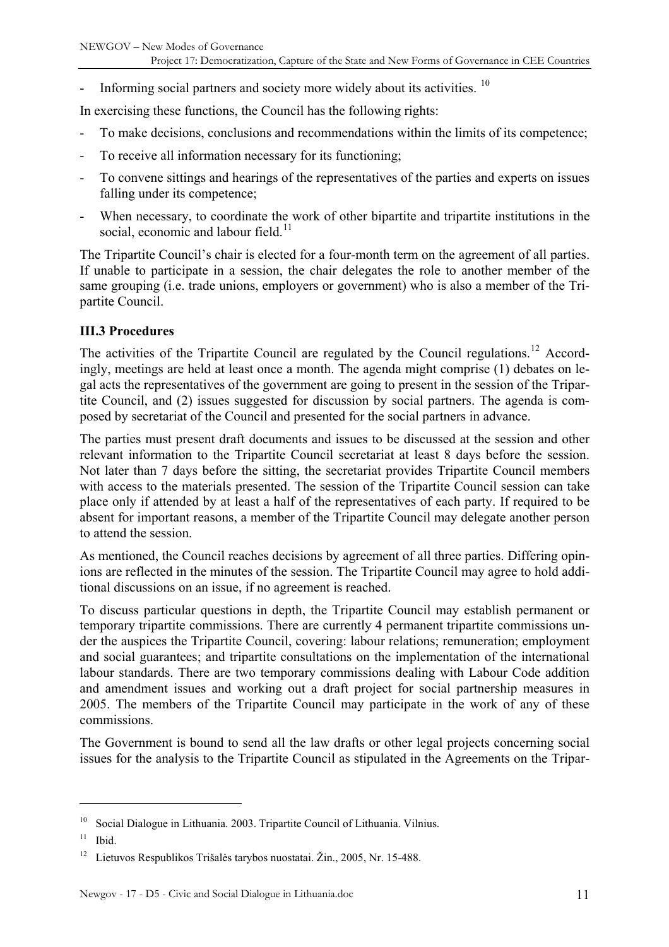<span id="page-10-0"></span>Informing social partners and society more widely about its activities.  $10$ 

In exercising these functions, the Council has the following rights:

- To make decisions, conclusions and recommendations within the limits of its competence;
- To receive all information necessary for its functioning;
- To convene sittings and hearings of the representatives of the parties and experts on issues falling under its competence;
- When necessary, to coordinate the work of other bipartite and tripartite institutions in the social, economic and labour field.<sup>[11](#page-10-2)</sup>

The Tripartite Council's chair is elected for a four-month term on the agreement of all parties. If unable to participate in a session, the chair delegates the role to another member of the same grouping (i.e. trade unions, employers or government) who is also a member of the Tripartite Council.

#### **III.3 Procedures**

The activities of the Tripartite Council are regulated by the Council regulations.<sup>[12](#page-10-3)</sup> Accordingly, meetings are held at least once a month. The agenda might comprise (1) debates on legal acts the representatives of the government are going to present in the session of the Tripartite Council, and (2) issues suggested for discussion by social partners. The agenda is composed by secretariat of the Council and presented for the social partners in advance.

The parties must present draft documents and issues to be discussed at the session and other relevant information to the Tripartite Council secretariat at least 8 days before the session. Not later than 7 days before the sitting, the secretariat provides Tripartite Council members with access to the materials presented. The session of the Tripartite Council session can take place only if attended by at least a half of the representatives of each party. If required to be absent for important reasons, a member of the Tripartite Council may delegate another person to attend the session.

As mentioned, the Council reaches decisions by agreement of all three parties. Differing opinions are reflected in the minutes of the session. The Tripartite Council may agree to hold additional discussions on an issue, if no agreement is reached.

To discuss particular questions in depth, the Tripartite Council may establish permanent or temporary tripartite commissions. There are currently 4 permanent tripartite commissions under the auspices the Tripartite Council, covering: labour relations; remuneration; employment and social guarantees; and tripartite consultations on the implementation of the international labour standards. There are two temporary commissions dealing with Labour Code addition and amendment issues and working out a draft project for social partnership measures in 2005. The members of the Tripartite Council may participate in the work of any of these commissions.

The Government is bound to send all the law drafts or other legal projects concerning social issues for the analysis to the Tripartite Council as stipulated in the Agreements on the Tripar-

<span id="page-10-1"></span> $10$  Social Dialogue in Lithuania. 2003. Tripartite Council of Lithuania. Vilnius.

<span id="page-10-2"></span> $11$  Ibid.

<span id="page-10-3"></span><sup>12</sup> Lietuvos Respublikos Trišalės tarybos nuostatai. Žin., 2005, Nr. 15-488.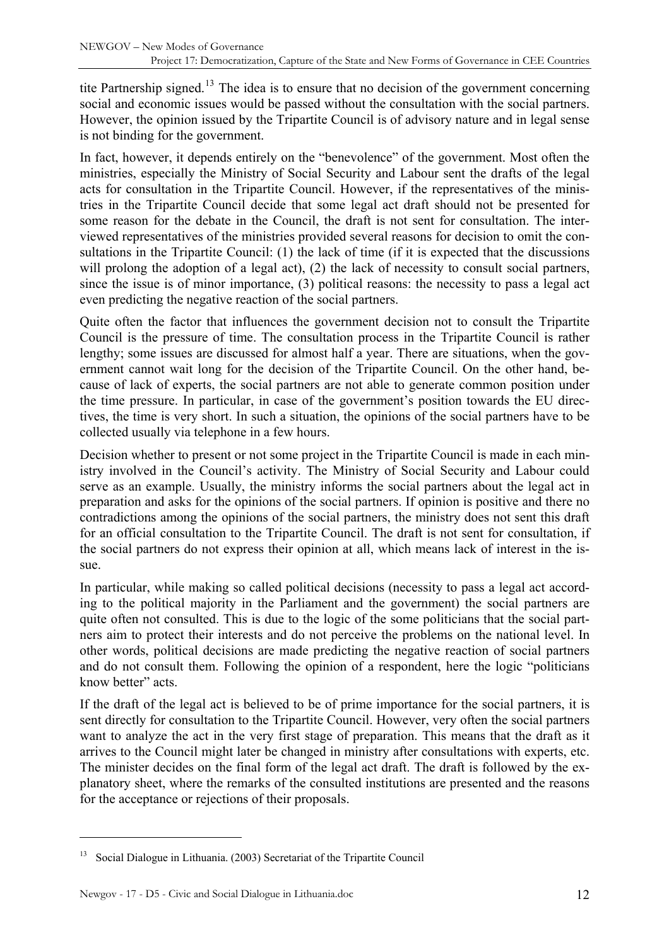tite Partnership signed.<sup>[13](#page-11-0)</sup> The idea is to ensure that no decision of the government concerning social and economic issues would be passed without the consultation with the social partners. However, the opinion issued by the Tripartite Council is of advisory nature and in legal sense is not binding for the government.

In fact, however, it depends entirely on the "benevolence" of the government. Most often the ministries, especially the Ministry of Social Security and Labour sent the drafts of the legal acts for consultation in the Tripartite Council. However, if the representatives of the ministries in the Tripartite Council decide that some legal act draft should not be presented for some reason for the debate in the Council, the draft is not sent for consultation. The interviewed representatives of the ministries provided several reasons for decision to omit the consultations in the Tripartite Council: (1) the lack of time (if it is expected that the discussions will prolong the adoption of a legal act), (2) the lack of necessity to consult social partners, since the issue is of minor importance, (3) political reasons: the necessity to pass a legal act even predicting the negative reaction of the social partners.

Quite often the factor that influences the government decision not to consult the Tripartite Council is the pressure of time. The consultation process in the Tripartite Council is rather lengthy; some issues are discussed for almost half a year. There are situations, when the government cannot wait long for the decision of the Tripartite Council. On the other hand, because of lack of experts, the social partners are not able to generate common position under the time pressure. In particular, in case of the government's position towards the EU directives, the time is very short. In such a situation, the opinions of the social partners have to be collected usually via telephone in a few hours.

Decision whether to present or not some project in the Tripartite Council is made in each ministry involved in the Council's activity. The Ministry of Social Security and Labour could serve as an example. Usually, the ministry informs the social partners about the legal act in preparation and asks for the opinions of the social partners. If opinion is positive and there no contradictions among the opinions of the social partners, the ministry does not sent this draft for an official consultation to the Tripartite Council. The draft is not sent for consultation, if the social partners do not express their opinion at all, which means lack of interest in the issue.

In particular, while making so called political decisions (necessity to pass a legal act according to the political majority in the Parliament and the government) the social partners are quite often not consulted. This is due to the logic of the some politicians that the social partners aim to protect their interests and do not perceive the problems on the national level. In other words, political decisions are made predicting the negative reaction of social partners and do not consult them. Following the opinion of a respondent, here the logic "politicians know better" acts.

If the draft of the legal act is believed to be of prime importance for the social partners, it is sent directly for consultation to the Tripartite Council. However, very often the social partners want to analyze the act in the very first stage of preparation. This means that the draft as it arrives to the Council might later be changed in ministry after consultations with experts, etc. The minister decides on the final form of the legal act draft. The draft is followed by the explanatory sheet, where the remarks of the consulted institutions are presented and the reasons for the acceptance or rejections of their proposals.

<span id="page-11-0"></span><sup>13</sup> Social Dialogue in Lithuania. (2003) Secretariat of the Tripartite Council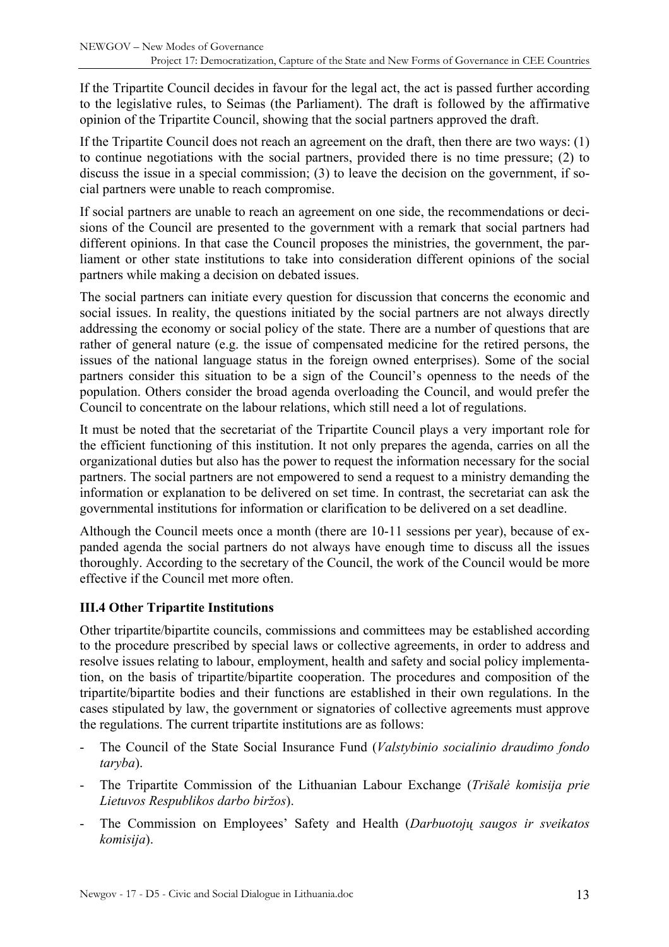<span id="page-12-0"></span>If the Tripartite Council decides in favour for the legal act, the act is passed further according to the legislative rules, to Seimas (the Parliament). The draft is followed by the affirmative opinion of the Tripartite Council, showing that the social partners approved the draft.

If the Tripartite Council does not reach an agreement on the draft, then there are two ways: (1) to continue negotiations with the social partners, provided there is no time pressure; (2) to discuss the issue in a special commission; (3) to leave the decision on the government, if social partners were unable to reach compromise.

If social partners are unable to reach an agreement on one side, the recommendations or decisions of the Council are presented to the government with a remark that social partners had different opinions. In that case the Council proposes the ministries, the government, the parliament or other state institutions to take into consideration different opinions of the social partners while making a decision on debated issues.

The social partners can initiate every question for discussion that concerns the economic and social issues. In reality, the questions initiated by the social partners are not always directly addressing the economy or social policy of the state. There are a number of questions that are rather of general nature (e.g. the issue of compensated medicine for the retired persons, the issues of the national language status in the foreign owned enterprises). Some of the social partners consider this situation to be a sign of the Council's openness to the needs of the population. Others consider the broad agenda overloading the Council, and would prefer the Council to concentrate on the labour relations, which still need a lot of regulations.

It must be noted that the secretariat of the Tripartite Council plays a very important role for the efficient functioning of this institution. It not only prepares the agenda, carries on all the organizational duties but also has the power to request the information necessary for the social partners. The social partners are not empowered to send a request to a ministry demanding the information or explanation to be delivered on set time. In contrast, the secretariat can ask the governmental institutions for information or clarification to be delivered on a set deadline.

Although the Council meets once a month (there are 10-11 sessions per year), because of expanded agenda the social partners do not always have enough time to discuss all the issues thoroughly. According to the secretary of the Council, the work of the Council would be more effective if the Council met more often.

### **III.4 Other Tripartite Institutions**

Other tripartite/bipartite councils, commissions and committees may be established according to the procedure prescribed by special laws or collective agreements, in order to address and resolve issues relating to labour, employment, health and safety and social policy implementation, on the basis of tripartite/bipartite cooperation. The procedures and composition of the tripartite/bipartite bodies and their functions are established in their own regulations. In the cases stipulated by law, the government or signatories of collective agreements must approve the regulations. The current tripartite institutions are as follows:

- The Council of the State Social Insurance Fund (*Valstybinio socialinio draudimo fondo taryba*).
- The Tripartite Commission of the Lithuanian Labour Exchange (*Trišalė komisija prie Lietuvos Respublikos darbo biržos*).
- The Commission on Employees' Safety and Health (*Darbuotojų saugos ir sveikatos komisija*).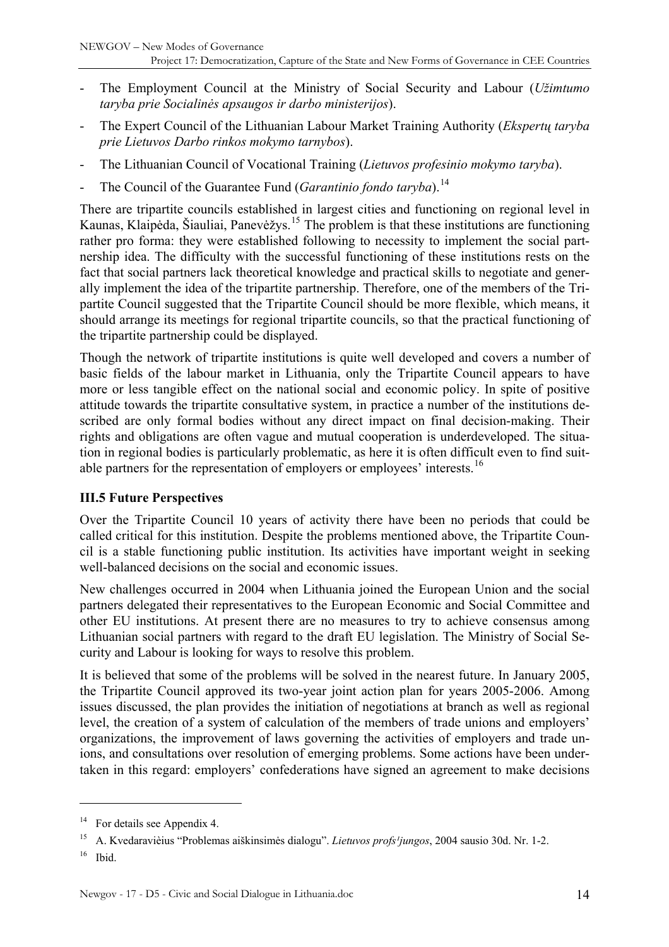- <span id="page-13-0"></span>- The Employment Council at the Ministry of Social Security and Labour (*Užimtumo taryba prie Socialinės apsaugos ir darbo ministerijos*).
- The Expert Council of the Lithuanian Labour Market Training Authority (*Ekspertų taryba prie Lietuvos Darbo rinkos mokymo tarnybos*).
- The Lithuanian Council of Vocational Training (*Lietuvos profesinio mokymo taryba*).
- The Council of the Guarantee Fund (*Garantinio fondo taryba*).<sup>[14](#page-13-1)</sup>

There are tripartite councils established in largest cities and functioning on regional level in Kaunas, Klaipėda, Šiauliai, Panevėžys.<sup>[15](#page-13-2)</sup> The problem is that these institutions are functioning rather pro forma: they were established following to necessity to implement the social partnership idea. The difficulty with the successful functioning of these institutions rests on the fact that social partners lack theoretical knowledge and practical skills to negotiate and generally implement the idea of the tripartite partnership. Therefore, one of the members of the Tripartite Council suggested that the Tripartite Council should be more flexible, which means, it should arrange its meetings for regional tripartite councils, so that the practical functioning of the tripartite partnership could be displayed.

Though the network of tripartite institutions is quite well developed and covers a number of basic fields of the labour market in Lithuania, only the Tripartite Council appears to have more or less tangible effect on the national social and economic policy. In spite of positive attitude towards the tripartite consultative system, in practice a number of the institutions described are only formal bodies without any direct impact on final decision-making. Their rights and obligations are often vague and mutual cooperation is underdeveloped. The situation in regional bodies is particularly problematic, as here it is often difficult even to find suit-able partners for the representation of employers or employees' interests.<sup>[16](#page-13-3)</sup>

### **III.5 Future Perspectives**

Over the Tripartite Council 10 years of activity there have been no periods that could be called critical for this institution. Despite the problems mentioned above, the Tripartite Council is a stable functioning public institution. Its activities have important weight in seeking well-balanced decisions on the social and economic issues.

New challenges occurred in 2004 when Lithuania joined the European Union and the social partners delegated their representatives to the European Economic and Social Committee and other EU institutions. At present there are no measures to try to achieve consensus among Lithuanian social partners with regard to the draft EU legislation. The Ministry of Social Security and Labour is looking for ways to resolve this problem.

It is believed that some of the problems will be solved in the nearest future. In January 2005, the Tripartite Council approved its two-year joint action plan for years 2005-2006. Among issues discussed, the plan provides the initiation of negotiations at branch as well as regional level, the creation of a system of calculation of the members of trade unions and employers' organizations, the improvement of laws governing the activities of employers and trade unions, and consultations over resolution of emerging problems. Some actions have been undertaken in this regard: employers' confederations have signed an agreement to make decisions

<span id="page-13-1"></span><sup>&</sup>lt;sup>14</sup> For details see Appendix 4.

<span id="page-13-2"></span><sup>&</sup>lt;sup>15</sup> A. Kvedaraviėjus "Problemas aiškinsimės dialogu". *Lietuvos profs<sup>1</sup>jungos*, 2004 sausio 30d. Nr. 1-2.

<span id="page-13-3"></span> $16$  Ibid.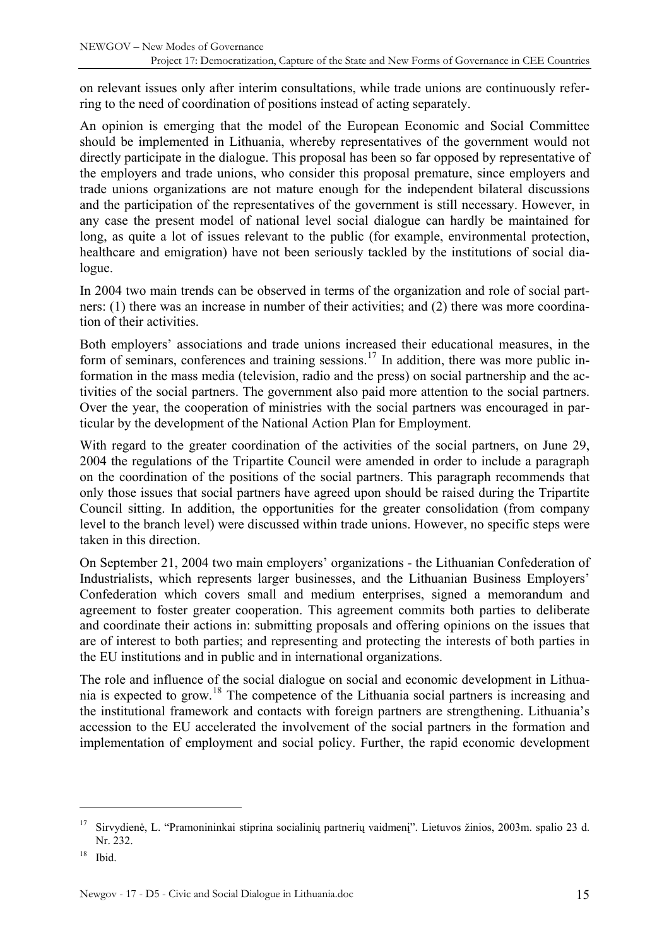on relevant issues only after interim consultations, while trade unions are continuously referring to the need of coordination of positions instead of acting separately.

An opinion is emerging that the model of the European Economic and Social Committee should be implemented in Lithuania, whereby representatives of the government would not directly participate in the dialogue. This proposal has been so far opposed by representative of the employers and trade unions, who consider this proposal premature, since employers and trade unions organizations are not mature enough for the independent bilateral discussions and the participation of the representatives of the government is still necessary. However, in any case the present model of national level social dialogue can hardly be maintained for long, as quite a lot of issues relevant to the public (for example, environmental protection, healthcare and emigration) have not been seriously tackled by the institutions of social dialogue.

In 2004 two main trends can be observed in terms of the organization and role of social partners: (1) there was an increase in number of their activities; and (2) there was more coordination of their activities.

Both employers' associations and trade unions increased their educational measures, in the form of seminars, conferences and training sessions.<sup>[17](#page-14-0)</sup> In addition, there was more public information in the mass media (television, radio and the press) on social partnership and the activities of the social partners. The government also paid more attention to the social partners. Over the year, the cooperation of ministries with the social partners was encouraged in particular by the development of the National Action Plan for Employment.

With regard to the greater coordination of the activities of the social partners, on June 29, 2004 the regulations of the Tripartite Council were amended in order to include a paragraph on the coordination of the positions of the social partners. This paragraph recommends that only those issues that social partners have agreed upon should be raised during the Tripartite Council sitting. In addition, the opportunities for the greater consolidation (from company level to the branch level) were discussed within trade unions. However, no specific steps were taken in this direction.

On September 21, 2004 two main employers' organizations - the Lithuanian Confederation of Industrialists, which represents larger businesses, and the Lithuanian Business Employers' Confederation which covers small and medium enterprises, signed a memorandum and agreement to foster greater cooperation. This agreement commits both parties to deliberate and coordinate their actions in: submitting proposals and offering opinions on the issues that are of interest to both parties; and representing and protecting the interests of both parties in the EU institutions and in public and in international organizations.

The role and influence of the social dialogue on social and economic development in Lithuania is expected to grow.[18](#page-14-1) The competence of the Lithuania social partners is increasing and the institutional framework and contacts with foreign partners are strengthening. Lithuania's accession to the EU accelerated the involvement of the social partners in the formation and implementation of employment and social policy. Further, the rapid economic development

<span id="page-14-0"></span><sup>&</sup>lt;sup>17</sup> Sirvydienė, L. "Pramonininkai stiprina socialinių partnerių vaidmeni". Lietuvos žinios, 2003m. spalio 23 d. Nr. 232.

<span id="page-14-1"></span> $18$  Ibid.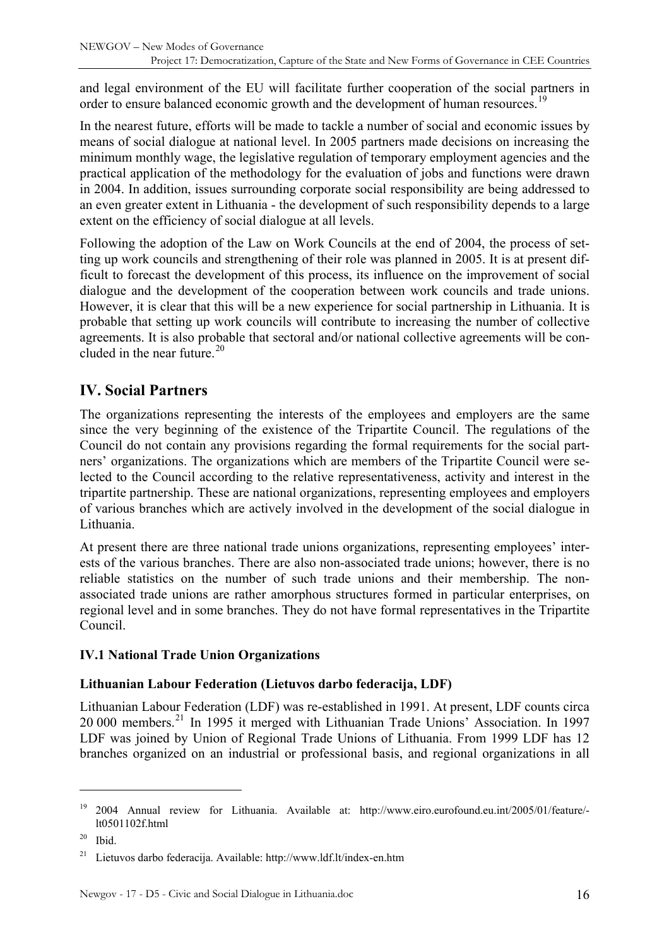<span id="page-15-0"></span>and legal environment of the EU will facilitate further cooperation of the social partners in order to ensure balanced economic growth and the development of human resources.<sup>[19](#page-15-1)</sup>

In the nearest future, efforts will be made to tackle a number of social and economic issues by means of social dialogue at national level. In 2005 partners made decisions on increasing the minimum monthly wage, the legislative regulation of temporary employment agencies and the practical application of the methodology for the evaluation of jobs and functions were drawn in 2004. In addition, issues surrounding corporate social responsibility are being addressed to an even greater extent in Lithuania - the development of such responsibility depends to a large extent on the efficiency of social dialogue at all levels.

Following the adoption of the Law on Work Councils at the end of 2004, the process of setting up work councils and strengthening of their role was planned in 2005. It is at present difficult to forecast the development of this process, its influence on the improvement of social dialogue and the development of the cooperation between work councils and trade unions. However, it is clear that this will be a new experience for social partnership in Lithuania. It is probable that setting up work councils will contribute to increasing the number of collective agreements. It is also probable that sectoral and/or national collective agreements will be con-cluded in the near future.<sup>[20](#page-15-2)</sup>

# **IV. Social Partners**

The organizations representing the interests of the employees and employers are the same since the very beginning of the existence of the Tripartite Council. The regulations of the Council do not contain any provisions regarding the formal requirements for the social partners' organizations. The organizations which are members of the Tripartite Council were selected to the Council according to the relative representativeness, activity and interest in the tripartite partnership. These are national organizations, representing employees and employers of various branches which are actively involved in the development of the social dialogue in Lithuania.

At present there are three national trade unions organizations, representing employees' interests of the various branches. There are also non-associated trade unions; however, there is no reliable statistics on the number of such trade unions and their membership. The nonassociated trade unions are rather amorphous structures formed in particular enterprises, on regional level and in some branches. They do not have formal representatives in the Tripartite Council.

### **IV.1 National Trade Union Organizations**

### **Lithuanian Labour Federation (Lietuvos darbo federacija, LDF)**

Lithuanian Labour Federation (LDF) was re-established in 1991. At present, LDF counts circa 20 000 members.[21](#page-15-3) In 1995 it merged with Lithuanian Trade Unions' Association. In 1997 LDF was joined by Union of Regional Trade Unions of Lithuania. From 1999 LDF has 12 branches organized on an industrial or professional basis, and regional organizations in all

<span id="page-15-1"></span><sup>19 2004</sup> Annual review for Lithuania. Available at: http://www.eiro.eurofound.eu.int/2005/01/feature/ lt0501102f.html

<span id="page-15-2"></span> $20$  Ibid.

<span id="page-15-3"></span><sup>21</sup> Lietuvos darbo federacija. Available: http://www.ldf.lt/index-en.htm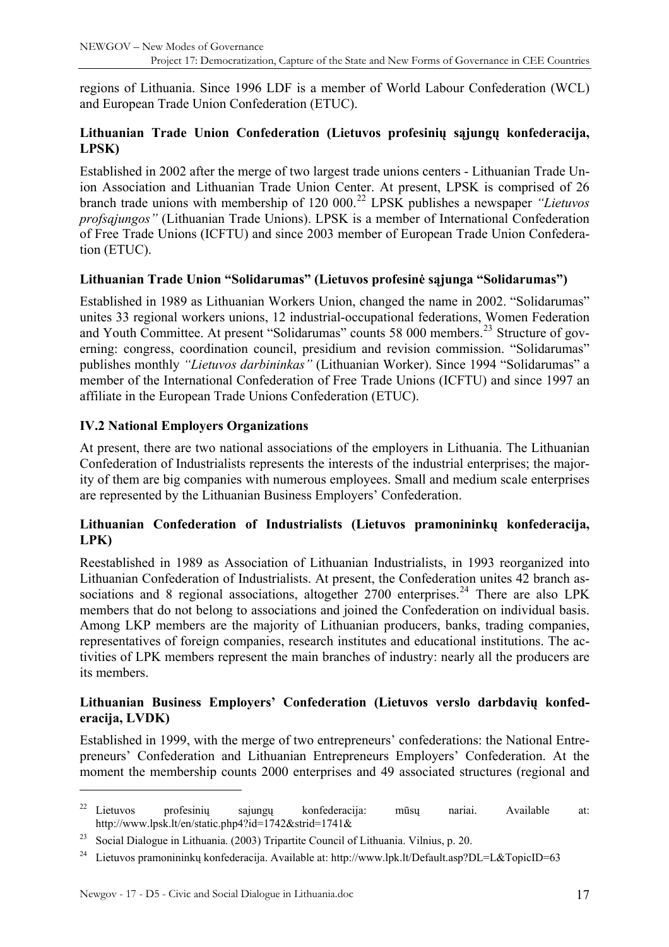<span id="page-16-0"></span>regions of Lithuania. Since 1996 LDF is a member of World Labour Confederation (WCL) and European Trade Union Confederation (ETUC).

### **Lithuanian Trade Union Confederation (Lietuvos profesinių sąjungų konfederacija, LPSK)**

Established in 2002 after the merge of two largest trade unions centers - Lithuanian Trade Union Association and Lithuanian Trade Union Center. At present, LPSK is comprised of 26 branch trade unions with membership of 120 000.[22](#page-16-1) LPSK publishes a newspaper *"Lietuvos profsąjungos"* (Lithuanian Trade Unions). LPSK is a member of International Confederation of Free Trade Unions (ICFTU) and since 2003 member of European Trade Union Confederation (ETUC).

#### **Lithuanian Trade Union "Solidarumas" (Lietuvos profesinė sąjunga "Solidarumas")**

Established in 1989 as Lithuanian Workers Union, changed the name in 2002. "Solidarumas" unites 33 regional workers unions, 12 industrial-occupational federations, Women Federation and Youth Committee. At present "Solidarumas" counts 58 000 members.<sup>[23](#page-16-2)</sup> Structure of governing: congress, coordination council, presidium and revision commission. "Solidarumas" publishes monthly *"Lietuvos darbininkas"* (Lithuanian Worker). Since 1994 "Solidarumas" a member of the International Confederation of Free Trade Unions (ICFTU) and since 1997 an affiliate in the European Trade Unions Confederation (ETUC).

### **IV.2 National Employers Organizations**

At present, there are two national associations of the employers in Lithuania. The Lithuanian Confederation of Industrialists represents the interests of the industrial enterprises; the majority of them are big companies with numerous employees. Small and medium scale enterprises are represented by the Lithuanian Business Employers' Confederation.

### **Lithuanian Confederation of Industrialists (Lietuvos pramonininkų konfederacija, LPK)**

Reestablished in 1989 as Association of Lithuanian Industrialists, in 1993 reorganized into Lithuanian Confederation of Industrialists. At present, the Confederation unites 42 branch associations and 8 regional associations, altogether  $2700$  enterprises.<sup>[24](#page-16-3)</sup> There are also LPK members that do not belong to associations and joined the Confederation on individual basis. Among LKP members are the majority of Lithuanian producers, banks, trading companies, representatives of foreign companies, research institutes and educational institutions. The activities of LPK members represent the main branches of industry: nearly all the producers are its members.

#### **Lithuanian Business Employers' Confederation (Lietuvos verslo darbdavių konfederacija, LVDK)**

Established in 1999, with the merge of two entrepreneurs' confederations: the National Entrepreneurs' Confederation and Lithuanian Entrepreneurs Employers' Confederation. At the moment the membership counts 2000 enterprises and 49 associated structures (regional and

<span id="page-16-1"></span><sup>22</sup> Lietuvos profesinių sajungų konfederacija: mūsų nariai. Available at: http://www.lpsk.lt/en/static.php4?id=1742&strid=1741&

<span id="page-16-2"></span><sup>23</sup> Social Dialogue in Lithuania. (2003) Tripartite Council of Lithuania. Vilnius, p. 20.

<span id="page-16-3"></span><sup>&</sup>lt;sup>24</sup> Lietuvos pramonininkų konfederacija. Available at: http://www.lpk.lt/Default.asp?DL=L&TopicID=63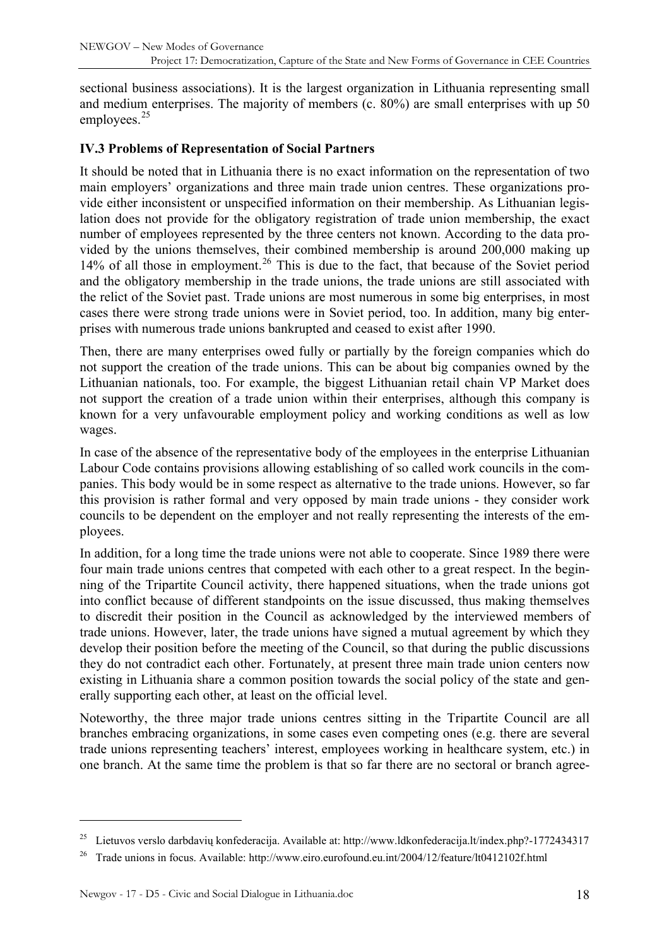<span id="page-17-0"></span>sectional business associations). It is the largest organization in Lithuania representing small and medium enterprises. The majority of members (c. 80%) are small enterprises with up 50 employees.<sup>[25](#page-17-1)</sup>

### **IV.3 Problems of Representation of Social Partners**

It should be noted that in Lithuania there is no exact information on the representation of two main employers' organizations and three main trade union centres. These organizations provide either inconsistent or unspecified information on their membership. As Lithuanian legislation does not provide for the obligatory registration of trade union membership, the exact number of employees represented by the three centers not known. According to the data provided by the unions themselves, their combined membership is around 200,000 making up 14% of all those in employment.<sup>[26](#page-17-2)</sup> This is due to the fact, that because of the Soviet period and the obligatory membership in the trade unions, the trade unions are still associated with the relict of the Soviet past. Trade unions are most numerous in some big enterprises, in most cases there were strong trade unions were in Soviet period, too. In addition, many big enterprises with numerous trade unions bankrupted and ceased to exist after 1990.

Then, there are many enterprises owed fully or partially by the foreign companies which do not support the creation of the trade unions. This can be about big companies owned by the Lithuanian nationals, too. For example, the biggest Lithuanian retail chain VP Market does not support the creation of a trade union within their enterprises, although this company is known for a very unfavourable employment policy and working conditions as well as low wages.

In case of the absence of the representative body of the employees in the enterprise Lithuanian Labour Code contains provisions allowing establishing of so called work councils in the companies. This body would be in some respect as alternative to the trade unions. However, so far this provision is rather formal and very opposed by main trade unions - they consider work councils to be dependent on the employer and not really representing the interests of the employees.

In addition, for a long time the trade unions were not able to cooperate. Since 1989 there were four main trade unions centres that competed with each other to a great respect. In the beginning of the Tripartite Council activity, there happened situations, when the trade unions got into conflict because of different standpoints on the issue discussed, thus making themselves to discredit their position in the Council as acknowledged by the interviewed members of trade unions. However, later, the trade unions have signed a mutual agreement by which they develop their position before the meeting of the Council, so that during the public discussions they do not contradict each other. Fortunately, at present three main trade union centers now existing in Lithuania share a common position towards the social policy of the state and generally supporting each other, at least on the official level.

Noteworthy, the three major trade unions centres sitting in the Tripartite Council are all branches embracing organizations, in some cases even competing ones (e.g. there are several trade unions representing teachers' interest, employees working in healthcare system, etc.) in one branch. At the same time the problem is that so far there are no sectoral or branch agree-

<span id="page-17-2"></span><span id="page-17-1"></span><sup>25</sup> Lietuvos verslo darbdavių konfederacija. Available at: http://www.ldkonfederacija.lt/index.php?-1772434317

<sup>26</sup> Trade unions in focus. Available: http://www.eiro.eurofound.eu.int/2004/12/feature/lt0412102f.html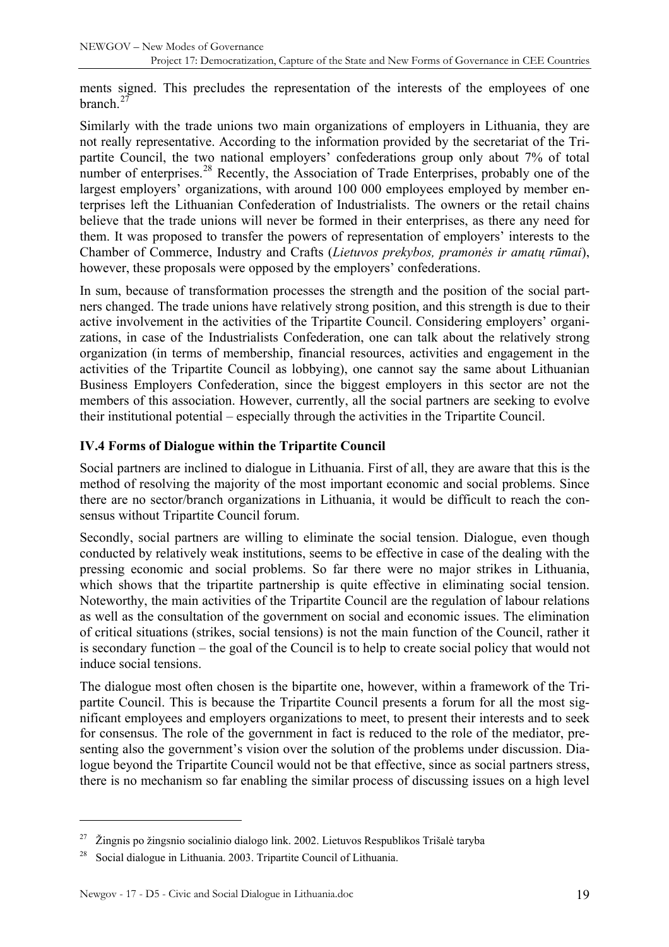<span id="page-18-0"></span>ments signed. This precludes the representation of the interests of the employees of one branch  $^{27}$  $^{27}$  $^{27}$ 

Similarly with the trade unions two main organizations of employers in Lithuania, they are not really representative. According to the information provided by the secretariat of the Tripartite Council, the two national employers' confederations group only about 7% of total number of enterprises.<sup>[28](#page-18-2)</sup> Recently, the Association of Trade Enterprises, probably one of the largest employers' organizations, with around 100 000 employees employed by member enterprises left the Lithuanian Confederation of Industrialists. The owners or the retail chains believe that the trade unions will never be formed in their enterprises, as there any need for them. It was proposed to transfer the powers of representation of employers' interests to the Chamber of Commerce, Industry and Crafts (*Lietuvos prekybos, pramonės ir amatų rūmai*), however, these proposals were opposed by the employers' confederations.

In sum, because of transformation processes the strength and the position of the social partners changed. The trade unions have relatively strong position, and this strength is due to their active involvement in the activities of the Tripartite Council. Considering employers' organizations, in case of the Industrialists Confederation, one can talk about the relatively strong organization (in terms of membership, financial resources, activities and engagement in the activities of the Tripartite Council as lobbying), one cannot say the same about Lithuanian Business Employers Confederation, since the biggest employers in this sector are not the members of this association. However, currently, all the social partners are seeking to evolve their institutional potential – especially through the activities in the Tripartite Council.

### **IV.4 Forms of Dialogue within the Tripartite Council**

Social partners are inclined to dialogue in Lithuania. First of all, they are aware that this is the method of resolving the majority of the most important economic and social problems. Since there are no sector/branch organizations in Lithuania, it would be difficult to reach the consensus without Tripartite Council forum.

Secondly, social partners are willing to eliminate the social tension. Dialogue, even though conducted by relatively weak institutions, seems to be effective in case of the dealing with the pressing economic and social problems. So far there were no major strikes in Lithuania, which shows that the tripartite partnership is quite effective in eliminating social tension. Noteworthy, the main activities of the Tripartite Council are the regulation of labour relations as well as the consultation of the government on social and economic issues. The elimination of critical situations (strikes, social tensions) is not the main function of the Council, rather it is secondary function – the goal of the Council is to help to create social policy that would not induce social tensions.

The dialogue most often chosen is the bipartite one, however, within a framework of the Tripartite Council. This is because the Tripartite Council presents a forum for all the most significant employees and employers organizations to meet, to present their interests and to seek for consensus. The role of the government in fact is reduced to the role of the mediator, presenting also the government's vision over the solution of the problems under discussion. Dialogue beyond the Tripartite Council would not be that effective, since as social partners stress, there is no mechanism so far enabling the similar process of discussing issues on a high level

<span id="page-18-1"></span> $27$  Žingnis po žingsnio socialinio dialogo link. 2002. Lietuvos Respublikos Trišalė taryba

<span id="page-18-2"></span><sup>28</sup> Social dialogue in Lithuania. 2003. Tripartite Council of Lithuania.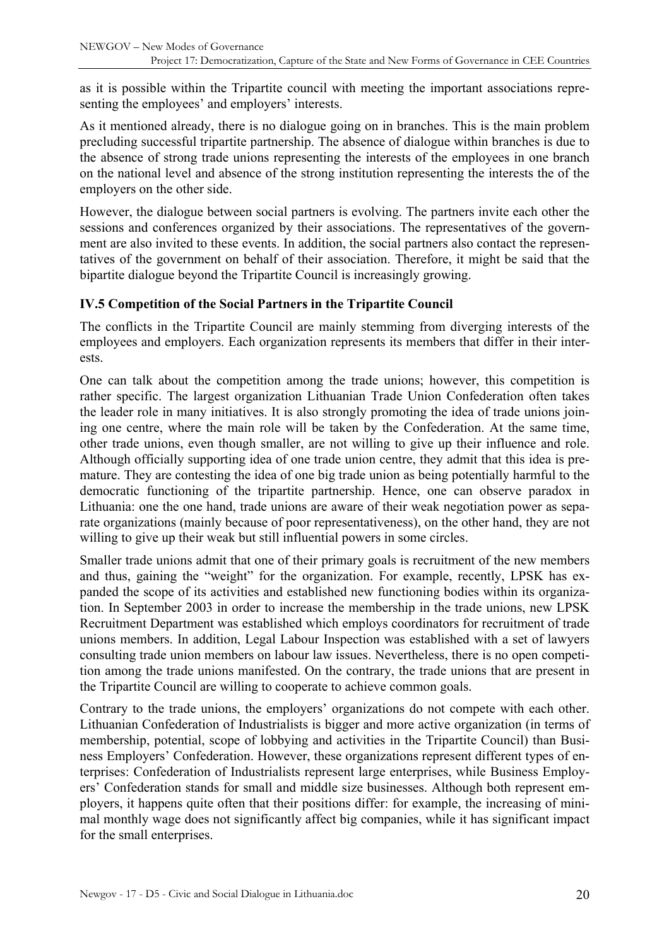<span id="page-19-0"></span>as it is possible within the Tripartite council with meeting the important associations representing the employees' and employers' interests.

As it mentioned already, there is no dialogue going on in branches. This is the main problem precluding successful tripartite partnership. The absence of dialogue within branches is due to the absence of strong trade unions representing the interests of the employees in one branch on the national level and absence of the strong institution representing the interests the of the employers on the other side.

However, the dialogue between social partners is evolving. The partners invite each other the sessions and conferences organized by their associations. The representatives of the government are also invited to these events. In addition, the social partners also contact the representatives of the government on behalf of their association. Therefore, it might be said that the bipartite dialogue beyond the Tripartite Council is increasingly growing.

#### **IV.5 Competition of the Social Partners in the Tripartite Council**

The conflicts in the Tripartite Council are mainly stemming from diverging interests of the employees and employers. Each organization represents its members that differ in their interests.

One can talk about the competition among the trade unions; however, this competition is rather specific. The largest organization Lithuanian Trade Union Confederation often takes the leader role in many initiatives. It is also strongly promoting the idea of trade unions joining one centre, where the main role will be taken by the Confederation. At the same time, other trade unions, even though smaller, are not willing to give up their influence and role. Although officially supporting idea of one trade union centre, they admit that this idea is premature. They are contesting the idea of one big trade union as being potentially harmful to the democratic functioning of the tripartite partnership. Hence, one can observe paradox in Lithuania: one the one hand, trade unions are aware of their weak negotiation power as separate organizations (mainly because of poor representativeness), on the other hand, they are not willing to give up their weak but still influential powers in some circles.

Smaller trade unions admit that one of their primary goals is recruitment of the new members and thus, gaining the "weight" for the organization. For example, recently, LPSK has expanded the scope of its activities and established new functioning bodies within its organization. In September 2003 in order to increase the membership in the trade unions, new LPSK Recruitment Department was established which employs coordinators for recruitment of trade unions members. In addition, Legal Labour Inspection was established with a set of lawyers consulting trade union members on labour law issues. Nevertheless, there is no open competition among the trade unions manifested. On the contrary, the trade unions that are present in the Tripartite Council are willing to cooperate to achieve common goals.

Contrary to the trade unions, the employers' organizations do not compete with each other. Lithuanian Confederation of Industrialists is bigger and more active organization (in terms of membership, potential, scope of lobbying and activities in the Tripartite Council) than Business Employers' Confederation. However, these organizations represent different types of enterprises: Confederation of Industrialists represent large enterprises, while Business Employers' Confederation stands for small and middle size businesses. Although both represent employers, it happens quite often that their positions differ: for example, the increasing of minimal monthly wage does not significantly affect big companies, while it has significant impact for the small enterprises.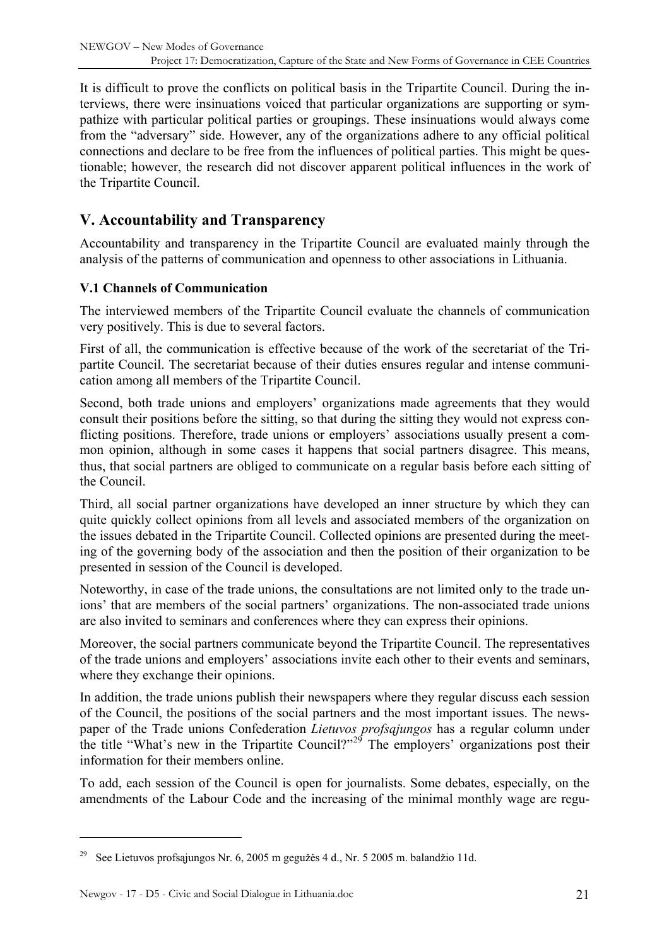<span id="page-20-0"></span>It is difficult to prove the conflicts on political basis in the Tripartite Council. During the interviews, there were insinuations voiced that particular organizations are supporting or sympathize with particular political parties or groupings. These insinuations would always come from the "adversary" side. However, any of the organizations adhere to any official political connections and declare to be free from the influences of political parties. This might be questionable; however, the research did not discover apparent political influences in the work of the Tripartite Council.

# **V. Accountability and Transparency**

Accountability and transparency in the Tripartite Council are evaluated mainly through the analysis of the patterns of communication and openness to other associations in Lithuania.

### **V.1 Channels of Communication**

The interviewed members of the Tripartite Council evaluate the channels of communication very positively. This is due to several factors.

First of all, the communication is effective because of the work of the secretariat of the Tripartite Council. The secretariat because of their duties ensures regular and intense communication among all members of the Tripartite Council.

Second, both trade unions and employers' organizations made agreements that they would consult their positions before the sitting, so that during the sitting they would not express conflicting positions. Therefore, trade unions or employers' associations usually present a common opinion, although in some cases it happens that social partners disagree. This means, thus, that social partners are obliged to communicate on a regular basis before each sitting of the Council.

Third, all social partner organizations have developed an inner structure by which they can quite quickly collect opinions from all levels and associated members of the organization on the issues debated in the Tripartite Council. Collected opinions are presented during the meeting of the governing body of the association and then the position of their organization to be presented in session of the Council is developed.

Noteworthy, in case of the trade unions, the consultations are not limited only to the trade unions' that are members of the social partners' organizations. The non-associated trade unions are also invited to seminars and conferences where they can express their opinions.

Moreover, the social partners communicate beyond the Tripartite Council. The representatives of the trade unions and employers' associations invite each other to their events and seminars, where they exchange their opinions.

In addition, the trade unions publish their newspapers where they regular discuss each session of the Council, the positions of the social partners and the most important issues. The newspaper of the Trade unions Confederation *Lietuvos profsąjungos* has a regular column under the title "What's new in the Tripartite Council?"<sup>[29](#page-20-1)</sup> The employers' organizations post their information for their members online.

To add, each session of the Council is open for journalists. Some debates, especially, on the amendments of the Labour Code and the increasing of the minimal monthly wage are regu-

<span id="page-20-1"></span><sup>29</sup> See Lietuvos profsąjungos Nr. 6, 2005 m gegužės 4 d., Nr. 5 2005 m. balandžio 11d.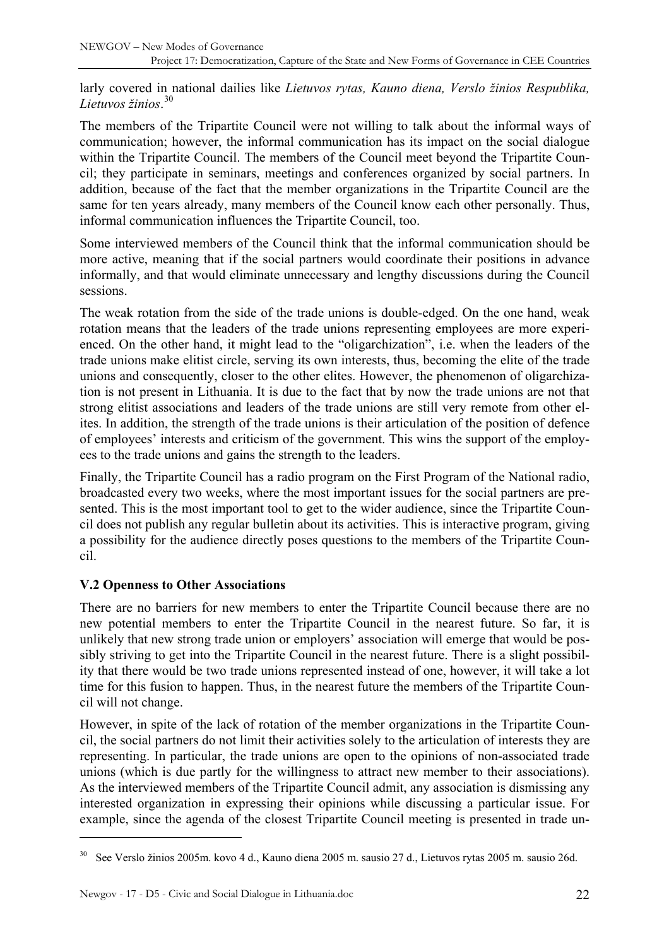<span id="page-21-0"></span>larly covered in national dailies like *Lietuvos rytas, Kauno diena, Verslo žinios Respublika, Lietuvos žinios*. [30](#page-21-1)

The members of the Tripartite Council were not willing to talk about the informal ways of communication; however, the informal communication has its impact on the social dialogue within the Tripartite Council. The members of the Council meet beyond the Tripartite Council; they participate in seminars, meetings and conferences organized by social partners. In addition, because of the fact that the member organizations in the Tripartite Council are the same for ten years already, many members of the Council know each other personally. Thus, informal communication influences the Tripartite Council, too.

Some interviewed members of the Council think that the informal communication should be more active, meaning that if the social partners would coordinate their positions in advance informally, and that would eliminate unnecessary and lengthy discussions during the Council sessions.

The weak rotation from the side of the trade unions is double-edged. On the one hand, weak rotation means that the leaders of the trade unions representing employees are more experienced. On the other hand, it might lead to the "oligarchization", i.e. when the leaders of the trade unions make elitist circle, serving its own interests, thus, becoming the elite of the trade unions and consequently, closer to the other elites. However, the phenomenon of oligarchization is not present in Lithuania. It is due to the fact that by now the trade unions are not that strong elitist associations and leaders of the trade unions are still very remote from other elites. In addition, the strength of the trade unions is their articulation of the position of defence of employees' interests and criticism of the government. This wins the support of the employees to the trade unions and gains the strength to the leaders.

Finally, the Tripartite Council has a radio program on the First Program of the National radio, broadcasted every two weeks, where the most important issues for the social partners are presented. This is the most important tool to get to the wider audience, since the Tripartite Council does not publish any regular bulletin about its activities. This is interactive program, giving a possibility for the audience directly poses questions to the members of the Tripartite Council.

### **V.2 Openness to Other Associations**

There are no barriers for new members to enter the Tripartite Council because there are no new potential members to enter the Tripartite Council in the nearest future. So far, it is unlikely that new strong trade union or employers' association will emerge that would be possibly striving to get into the Tripartite Council in the nearest future. There is a slight possibility that there would be two trade unions represented instead of one, however, it will take a lot time for this fusion to happen. Thus, in the nearest future the members of the Tripartite Council will not change.

However, in spite of the lack of rotation of the member organizations in the Tripartite Council, the social partners do not limit their activities solely to the articulation of interests they are representing. In particular, the trade unions are open to the opinions of non-associated trade unions (which is due partly for the willingness to attract new member to their associations). As the interviewed members of the Tripartite Council admit, any association is dismissing any interested organization in expressing their opinions while discussing a particular issue. For example, since the agenda of the closest Tripartite Council meeting is presented in trade un-

<span id="page-21-1"></span><sup>30</sup> See Verslo žinios 2005m. kovo 4 d., Kauno diena 2005 m. sausio 27 d., Lietuvos rytas 2005 m. sausio 26d.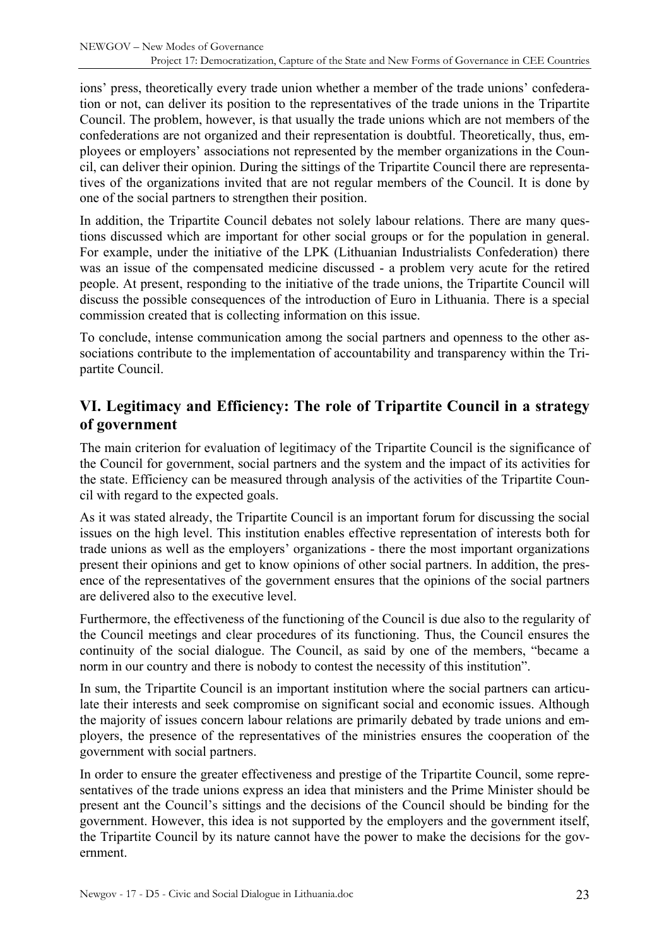<span id="page-22-0"></span>ions' press, theoretically every trade union whether a member of the trade unions' confederation or not, can deliver its position to the representatives of the trade unions in the Tripartite Council. The problem, however, is that usually the trade unions which are not members of the confederations are not organized and their representation is doubtful. Theoretically, thus, employees or employers' associations not represented by the member organizations in the Council, can deliver their opinion. During the sittings of the Tripartite Council there are representatives of the organizations invited that are not regular members of the Council. It is done by one of the social partners to strengthen their position.

In addition, the Tripartite Council debates not solely labour relations. There are many questions discussed which are important for other social groups or for the population in general. For example, under the initiative of the LPK (Lithuanian Industrialists Confederation) there was an issue of the compensated medicine discussed - a problem very acute for the retired people. At present, responding to the initiative of the trade unions, the Tripartite Council will discuss the possible consequences of the introduction of Euro in Lithuania. There is a special commission created that is collecting information on this issue.

To conclude, intense communication among the social partners and openness to the other associations contribute to the implementation of accountability and transparency within the Tripartite Council.

## **VI. Legitimacy and Efficiency: The role of Tripartite Council in a strategy of government**

The main criterion for evaluation of legitimacy of the Tripartite Council is the significance of the Council for government, social partners and the system and the impact of its activities for the state. Efficiency can be measured through analysis of the activities of the Tripartite Council with regard to the expected goals.

As it was stated already, the Tripartite Council is an important forum for discussing the social issues on the high level. This institution enables effective representation of interests both for trade unions as well as the employers' organizations - there the most important organizations present their opinions and get to know opinions of other social partners. In addition, the presence of the representatives of the government ensures that the opinions of the social partners are delivered also to the executive level.

Furthermore, the effectiveness of the functioning of the Council is due also to the regularity of the Council meetings and clear procedures of its functioning. Thus, the Council ensures the continuity of the social dialogue. The Council, as said by one of the members, "became a norm in our country and there is nobody to contest the necessity of this institution".

In sum, the Tripartite Council is an important institution where the social partners can articulate their interests and seek compromise on significant social and economic issues. Although the majority of issues concern labour relations are primarily debated by trade unions and employers, the presence of the representatives of the ministries ensures the cooperation of the government with social partners.

In order to ensure the greater effectiveness and prestige of the Tripartite Council, some representatives of the trade unions express an idea that ministers and the Prime Minister should be present ant the Council's sittings and the decisions of the Council should be binding for the government. However, this idea is not supported by the employers and the government itself, the Tripartite Council by its nature cannot have the power to make the decisions for the government.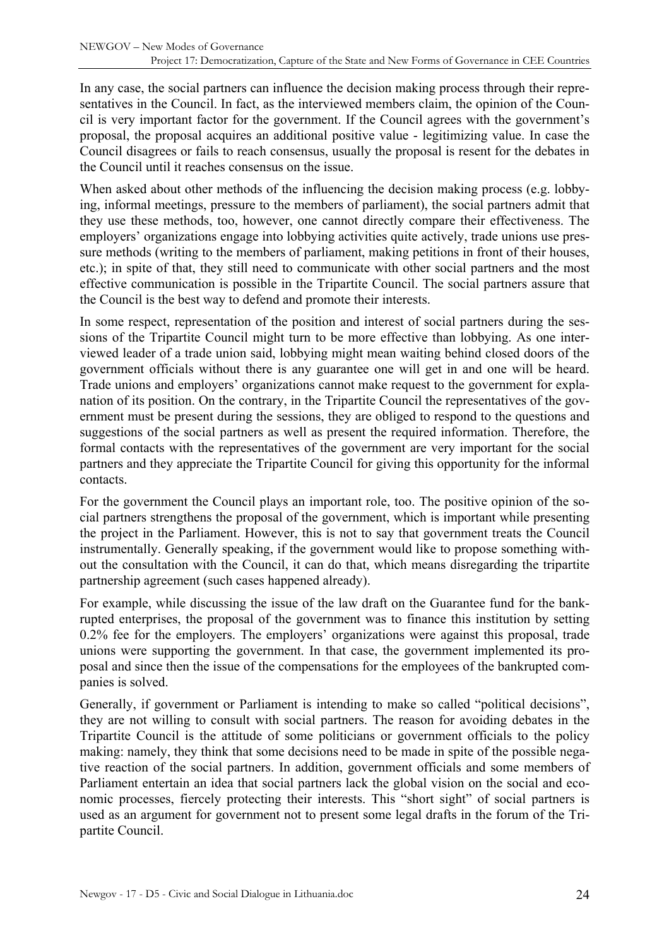In any case, the social partners can influence the decision making process through their representatives in the Council. In fact, as the interviewed members claim, the opinion of the Council is very important factor for the government. If the Council agrees with the government's proposal, the proposal acquires an additional positive value - legitimizing value. In case the Council disagrees or fails to reach consensus, usually the proposal is resent for the debates in the Council until it reaches consensus on the issue.

When asked about other methods of the influencing the decision making process (e.g. lobbying, informal meetings, pressure to the members of parliament), the social partners admit that they use these methods, too, however, one cannot directly compare their effectiveness. The employers' organizations engage into lobbying activities quite actively, trade unions use pressure methods (writing to the members of parliament, making petitions in front of their houses, etc.); in spite of that, they still need to communicate with other social partners and the most effective communication is possible in the Tripartite Council. The social partners assure that the Council is the best way to defend and promote their interests.

In some respect, representation of the position and interest of social partners during the sessions of the Tripartite Council might turn to be more effective than lobbying. As one interviewed leader of a trade union said, lobbying might mean waiting behind closed doors of the government officials without there is any guarantee one will get in and one will be heard. Trade unions and employers' organizations cannot make request to the government for explanation of its position. On the contrary, in the Tripartite Council the representatives of the government must be present during the sessions, they are obliged to respond to the questions and suggestions of the social partners as well as present the required information. Therefore, the formal contacts with the representatives of the government are very important for the social partners and they appreciate the Tripartite Council for giving this opportunity for the informal contacts.

For the government the Council plays an important role, too. The positive opinion of the social partners strengthens the proposal of the government, which is important while presenting the project in the Parliament. However, this is not to say that government treats the Council instrumentally. Generally speaking, if the government would like to propose something without the consultation with the Council, it can do that, which means disregarding the tripartite partnership agreement (such cases happened already).

For example, while discussing the issue of the law draft on the Guarantee fund for the bankrupted enterprises, the proposal of the government was to finance this institution by setting 0.2% fee for the employers. The employers' organizations were against this proposal, trade unions were supporting the government. In that case, the government implemented its proposal and since then the issue of the compensations for the employees of the bankrupted companies is solved.

Generally, if government or Parliament is intending to make so called "political decisions", they are not willing to consult with social partners. The reason for avoiding debates in the Tripartite Council is the attitude of some politicians or government officials to the policy making: namely, they think that some decisions need to be made in spite of the possible negative reaction of the social partners. In addition, government officials and some members of Parliament entertain an idea that social partners lack the global vision on the social and economic processes, fiercely protecting their interests. This "short sight" of social partners is used as an argument for government not to present some legal drafts in the forum of the Tripartite Council.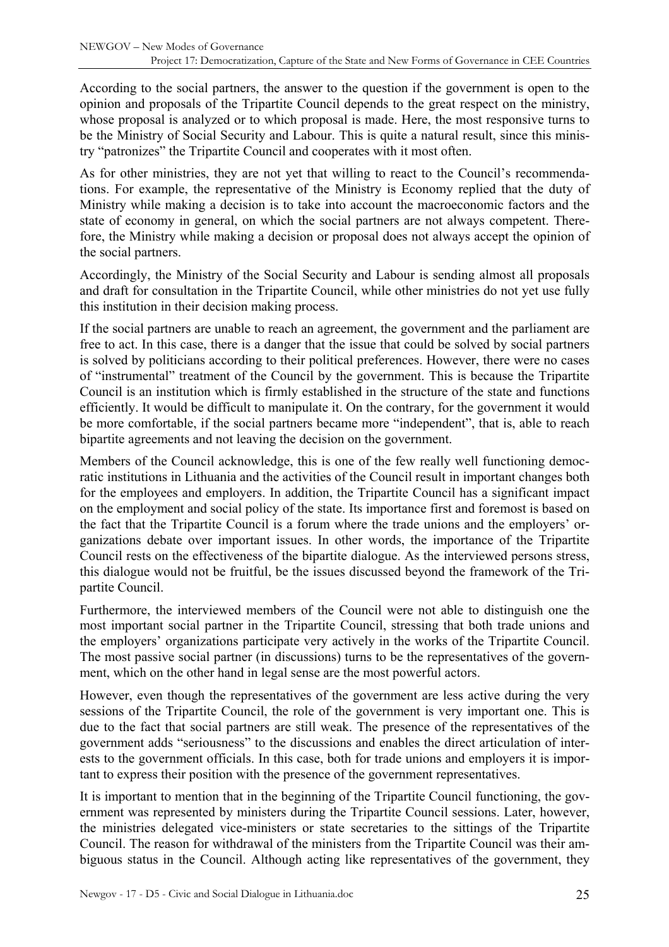According to the social partners, the answer to the question if the government is open to the opinion and proposals of the Tripartite Council depends to the great respect on the ministry, whose proposal is analyzed or to which proposal is made. Here, the most responsive turns to be the Ministry of Social Security and Labour. This is quite a natural result, since this ministry "patronizes" the Tripartite Council and cooperates with it most often.

As for other ministries, they are not yet that willing to react to the Council's recommendations. For example, the representative of the Ministry is Economy replied that the duty of Ministry while making a decision is to take into account the macroeconomic factors and the state of economy in general, on which the social partners are not always competent. Therefore, the Ministry while making a decision or proposal does not always accept the opinion of the social partners.

Accordingly, the Ministry of the Social Security and Labour is sending almost all proposals and draft for consultation in the Tripartite Council, while other ministries do not yet use fully this institution in their decision making process.

If the social partners are unable to reach an agreement, the government and the parliament are free to act. In this case, there is a danger that the issue that could be solved by social partners is solved by politicians according to their political preferences. However, there were no cases of "instrumental" treatment of the Council by the government. This is because the Tripartite Council is an institution which is firmly established in the structure of the state and functions efficiently. It would be difficult to manipulate it. On the contrary, for the government it would be more comfortable, if the social partners became more "independent", that is, able to reach bipartite agreements and not leaving the decision on the government.

Members of the Council acknowledge, this is one of the few really well functioning democratic institutions in Lithuania and the activities of the Council result in important changes both for the employees and employers. In addition, the Tripartite Council has a significant impact on the employment and social policy of the state. Its importance first and foremost is based on the fact that the Tripartite Council is a forum where the trade unions and the employers' organizations debate over important issues. In other words, the importance of the Tripartite Council rests on the effectiveness of the bipartite dialogue. As the interviewed persons stress, this dialogue would not be fruitful, be the issues discussed beyond the framework of the Tripartite Council.

Furthermore, the interviewed members of the Council were not able to distinguish one the most important social partner in the Tripartite Council, stressing that both trade unions and the employers' organizations participate very actively in the works of the Tripartite Council. The most passive social partner (in discussions) turns to be the representatives of the government, which on the other hand in legal sense are the most powerful actors.

However, even though the representatives of the government are less active during the very sessions of the Tripartite Council, the role of the government is very important one. This is due to the fact that social partners are still weak. The presence of the representatives of the government adds "seriousness" to the discussions and enables the direct articulation of interests to the government officials. In this case, both for trade unions and employers it is important to express their position with the presence of the government representatives.

It is important to mention that in the beginning of the Tripartite Council functioning, the government was represented by ministers during the Tripartite Council sessions. Later, however, the ministries delegated vice-ministers or state secretaries to the sittings of the Tripartite Council. The reason for withdrawal of the ministers from the Tripartite Council was their ambiguous status in the Council. Although acting like representatives of the government, they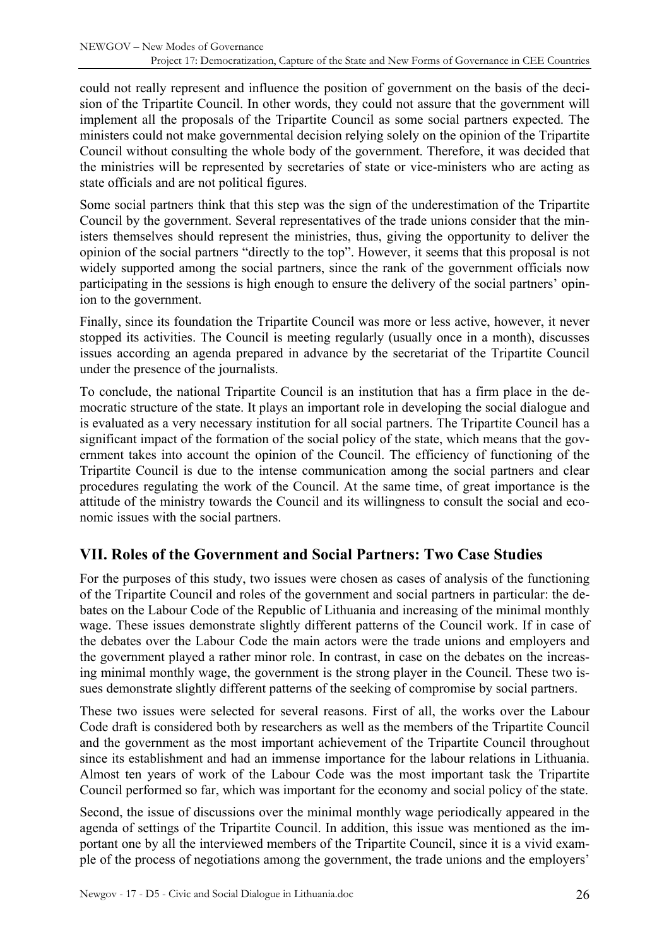<span id="page-25-0"></span>could not really represent and influence the position of government on the basis of the decision of the Tripartite Council. In other words, they could not assure that the government will implement all the proposals of the Tripartite Council as some social partners expected. The ministers could not make governmental decision relying solely on the opinion of the Tripartite Council without consulting the whole body of the government. Therefore, it was decided that the ministries will be represented by secretaries of state or vice-ministers who are acting as state officials and are not political figures.

Some social partners think that this step was the sign of the underestimation of the Tripartite Council by the government. Several representatives of the trade unions consider that the ministers themselves should represent the ministries, thus, giving the opportunity to deliver the opinion of the social partners "directly to the top". However, it seems that this proposal is not widely supported among the social partners, since the rank of the government officials now participating in the sessions is high enough to ensure the delivery of the social partners' opinion to the government.

Finally, since its foundation the Tripartite Council was more or less active, however, it never stopped its activities. The Council is meeting regularly (usually once in a month), discusses issues according an agenda prepared in advance by the secretariat of the Tripartite Council under the presence of the journalists.

To conclude, the national Tripartite Council is an institution that has a firm place in the democratic structure of the state. It plays an important role in developing the social dialogue and is evaluated as a very necessary institution for all social partners. The Tripartite Council has a significant impact of the formation of the social policy of the state, which means that the government takes into account the opinion of the Council. The efficiency of functioning of the Tripartite Council is due to the intense communication among the social partners and clear procedures regulating the work of the Council. At the same time, of great importance is the attitude of the ministry towards the Council and its willingness to consult the social and economic issues with the social partners.

# **VII. Roles of the Government and Social Partners: Two Case Studies**

For the purposes of this study, two issues were chosen as cases of analysis of the functioning of the Tripartite Council and roles of the government and social partners in particular: the debates on the Labour Code of the Republic of Lithuania and increasing of the minimal monthly wage. These issues demonstrate slightly different patterns of the Council work. If in case of the debates over the Labour Code the main actors were the trade unions and employers and the government played a rather minor role. In contrast, in case on the debates on the increasing minimal monthly wage, the government is the strong player in the Council. These two issues demonstrate slightly different patterns of the seeking of compromise by social partners.

These two issues were selected for several reasons. First of all, the works over the Labour Code draft is considered both by researchers as well as the members of the Tripartite Council and the government as the most important achievement of the Tripartite Council throughout since its establishment and had an immense importance for the labour relations in Lithuania. Almost ten years of work of the Labour Code was the most important task the Tripartite Council performed so far, which was important for the economy and social policy of the state.

Second, the issue of discussions over the minimal monthly wage periodically appeared in the agenda of settings of the Tripartite Council. In addition, this issue was mentioned as the important one by all the interviewed members of the Tripartite Council, since it is a vivid example of the process of negotiations among the government, the trade unions and the employers'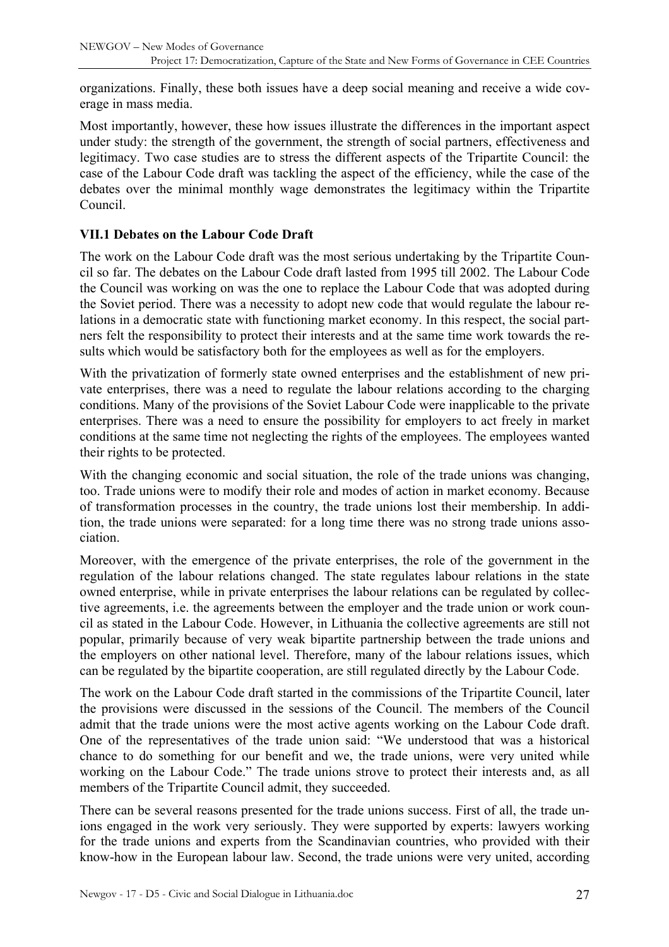<span id="page-26-0"></span>organizations. Finally, these both issues have a deep social meaning and receive a wide coverage in mass media.

Most importantly, however, these how issues illustrate the differences in the important aspect under study: the strength of the government, the strength of social partners, effectiveness and legitimacy. Two case studies are to stress the different aspects of the Tripartite Council: the case of the Labour Code draft was tackling the aspect of the efficiency, while the case of the debates over the minimal monthly wage demonstrates the legitimacy within the Tripartite Council.

### **VII.1 Debates on the Labour Code Draft**

The work on the Labour Code draft was the most serious undertaking by the Tripartite Council so far. The debates on the Labour Code draft lasted from 1995 till 2002. The Labour Code the Council was working on was the one to replace the Labour Code that was adopted during the Soviet period. There was a necessity to adopt new code that would regulate the labour relations in a democratic state with functioning market economy. In this respect, the social partners felt the responsibility to protect their interests and at the same time work towards the results which would be satisfactory both for the employees as well as for the employers.

With the privatization of formerly state owned enterprises and the establishment of new private enterprises, there was a need to regulate the labour relations according to the charging conditions. Many of the provisions of the Soviet Labour Code were inapplicable to the private enterprises. There was a need to ensure the possibility for employers to act freely in market conditions at the same time not neglecting the rights of the employees. The employees wanted their rights to be protected.

With the changing economic and social situation, the role of the trade unions was changing. too. Trade unions were to modify their role and modes of action in market economy. Because of transformation processes in the country, the trade unions lost their membership. In addition, the trade unions were separated: for a long time there was no strong trade unions association.

Moreover, with the emergence of the private enterprises, the role of the government in the regulation of the labour relations changed. The state regulates labour relations in the state owned enterprise, while in private enterprises the labour relations can be regulated by collective agreements, i.e. the agreements between the employer and the trade union or work council as stated in the Labour Code. However, in Lithuania the collective agreements are still not popular, primarily because of very weak bipartite partnership between the trade unions and the employers on other national level. Therefore, many of the labour relations issues, which can be regulated by the bipartite cooperation, are still regulated directly by the Labour Code.

The work on the Labour Code draft started in the commissions of the Tripartite Council, later the provisions were discussed in the sessions of the Council. The members of the Council admit that the trade unions were the most active agents working on the Labour Code draft. One of the representatives of the trade union said: "We understood that was a historical chance to do something for our benefit and we, the trade unions, were very united while working on the Labour Code." The trade unions strove to protect their interests and, as all members of the Tripartite Council admit, they succeeded.

There can be several reasons presented for the trade unions success. First of all, the trade unions engaged in the work very seriously. They were supported by experts: lawyers working for the trade unions and experts from the Scandinavian countries, who provided with their know-how in the European labour law. Second, the trade unions were very united, according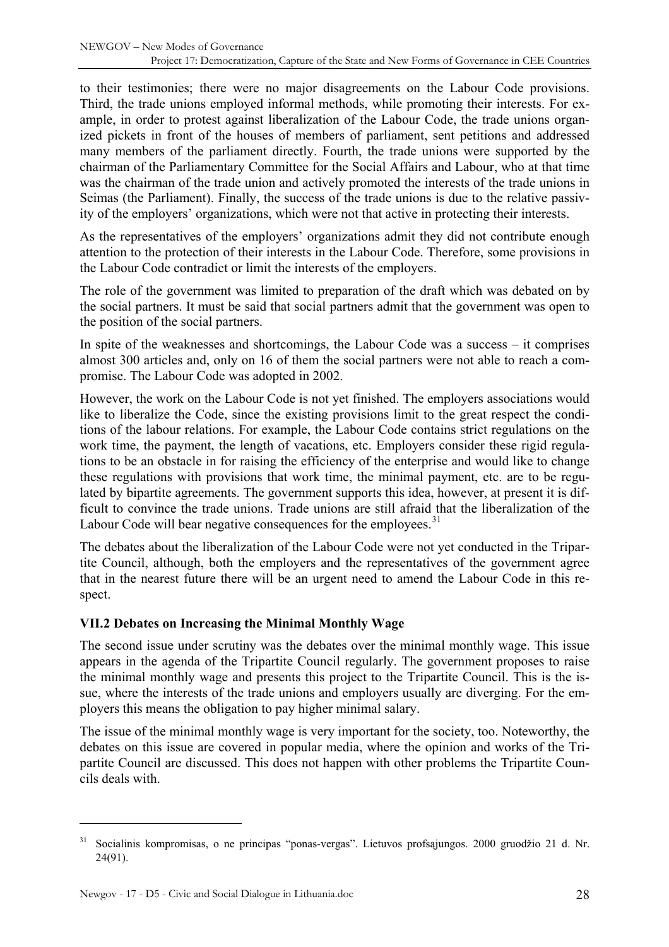<span id="page-27-0"></span>to their testimonies; there were no major disagreements on the Labour Code provisions. Third, the trade unions employed informal methods, while promoting their interests. For example, in order to protest against liberalization of the Labour Code, the trade unions organized pickets in front of the houses of members of parliament, sent petitions and addressed many members of the parliament directly. Fourth, the trade unions were supported by the chairman of the Parliamentary Committee for the Social Affairs and Labour, who at that time was the chairman of the trade union and actively promoted the interests of the trade unions in Seimas (the Parliament). Finally, the success of the trade unions is due to the relative passivity of the employers' organizations, which were not that active in protecting their interests.

As the representatives of the employers' organizations admit they did not contribute enough attention to the protection of their interests in the Labour Code. Therefore, some provisions in the Labour Code contradict or limit the interests of the employers.

The role of the government was limited to preparation of the draft which was debated on by the social partners. It must be said that social partners admit that the government was open to the position of the social partners.

In spite of the weaknesses and shortcomings, the Labour Code was a success – it comprises almost 300 articles and, only on 16 of them the social partners were not able to reach a compromise. The Labour Code was adopted in 2002.

However, the work on the Labour Code is not yet finished. The employers associations would like to liberalize the Code, since the existing provisions limit to the great respect the conditions of the labour relations. For example, the Labour Code contains strict regulations on the work time, the payment, the length of vacations, etc. Employers consider these rigid regulations to be an obstacle in for raising the efficiency of the enterprise and would like to change these regulations with provisions that work time, the minimal payment, etc. are to be regulated by bipartite agreements. The government supports this idea, however, at present it is difficult to convince the trade unions. Trade unions are still afraid that the liberalization of the Labour Code will bear negative consequences for the employees.<sup>[31](#page-27-1)</sup>

The debates about the liberalization of the Labour Code were not yet conducted in the Tripartite Council, although, both the employers and the representatives of the government agree that in the nearest future there will be an urgent need to amend the Labour Code in this respect.

### **VII.2 Debates on Increasing the Minimal Monthly Wage**

The second issue under scrutiny was the debates over the minimal monthly wage. This issue appears in the agenda of the Tripartite Council regularly. The government proposes to raise the minimal monthly wage and presents this project to the Tripartite Council. This is the issue, where the interests of the trade unions and employers usually are diverging. For the employers this means the obligation to pay higher minimal salary.

The issue of the minimal monthly wage is very important for the society, too. Noteworthy, the debates on this issue are covered in popular media, where the opinion and works of the Tripartite Council are discussed. This does not happen with other problems the Tripartite Councils deals with.

<span id="page-27-1"></span><sup>31</sup> Socialinis kompromisas, o ne principas "ponas-vergas". Lietuvos profsąjungos. 2000 gruodžio 21 d. Nr. 24(91).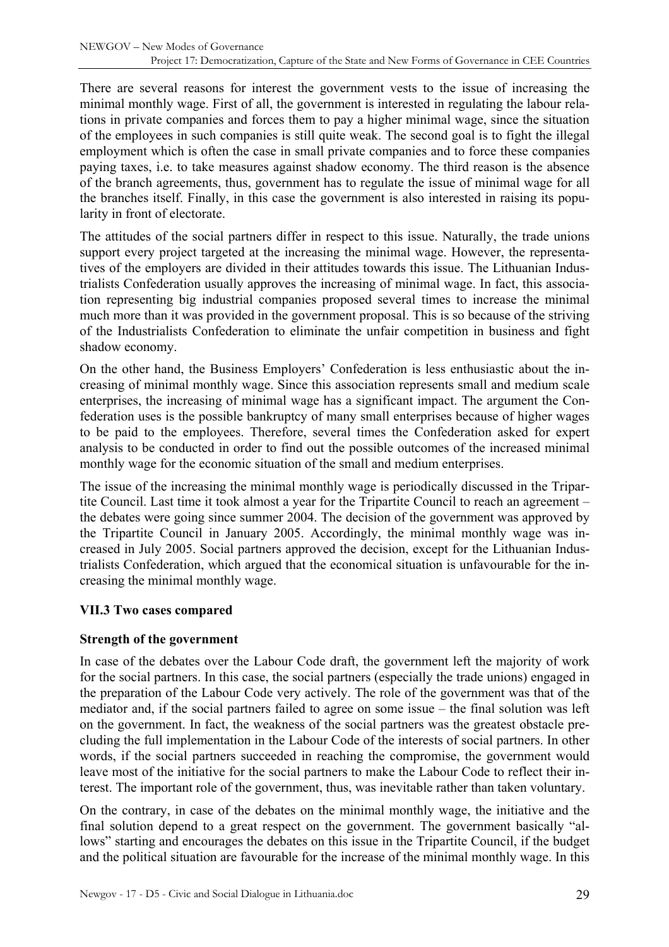<span id="page-28-0"></span>There are several reasons for interest the government vests to the issue of increasing the minimal monthly wage. First of all, the government is interested in regulating the labour relations in private companies and forces them to pay a higher minimal wage, since the situation of the employees in such companies is still quite weak. The second goal is to fight the illegal employment which is often the case in small private companies and to force these companies paying taxes, i.e. to take measures against shadow economy. The third reason is the absence of the branch agreements, thus, government has to regulate the issue of minimal wage for all the branches itself. Finally, in this case the government is also interested in raising its popularity in front of electorate.

The attitudes of the social partners differ in respect to this issue. Naturally, the trade unions support every project targeted at the increasing the minimal wage. However, the representatives of the employers are divided in their attitudes towards this issue. The Lithuanian Industrialists Confederation usually approves the increasing of minimal wage. In fact, this association representing big industrial companies proposed several times to increase the minimal much more than it was provided in the government proposal. This is so because of the striving of the Industrialists Confederation to eliminate the unfair competition in business and fight shadow economy.

On the other hand, the Business Employers' Confederation is less enthusiastic about the increasing of minimal monthly wage. Since this association represents small and medium scale enterprises, the increasing of minimal wage has a significant impact. The argument the Confederation uses is the possible bankruptcy of many small enterprises because of higher wages to be paid to the employees. Therefore, several times the Confederation asked for expert analysis to be conducted in order to find out the possible outcomes of the increased minimal monthly wage for the economic situation of the small and medium enterprises.

The issue of the increasing the minimal monthly wage is periodically discussed in the Tripartite Council. Last time it took almost a year for the Tripartite Council to reach an agreement – the debates were going since summer 2004. The decision of the government was approved by the Tripartite Council in January 2005. Accordingly, the minimal monthly wage was increased in July 2005. Social partners approved the decision, except for the Lithuanian Industrialists Confederation, which argued that the economical situation is unfavourable for the increasing the minimal monthly wage.

### **VII.3 Two cases compared**

### **Strength of the government**

In case of the debates over the Labour Code draft, the government left the majority of work for the social partners. In this case, the social partners (especially the trade unions) engaged in the preparation of the Labour Code very actively. The role of the government was that of the mediator and, if the social partners failed to agree on some issue – the final solution was left on the government. In fact, the weakness of the social partners was the greatest obstacle precluding the full implementation in the Labour Code of the interests of social partners. In other words, if the social partners succeeded in reaching the compromise, the government would leave most of the initiative for the social partners to make the Labour Code to reflect their interest. The important role of the government, thus, was inevitable rather than taken voluntary.

On the contrary, in case of the debates on the minimal monthly wage, the initiative and the final solution depend to a great respect on the government. The government basically "allows" starting and encourages the debates on this issue in the Tripartite Council, if the budget and the political situation are favourable for the increase of the minimal monthly wage. In this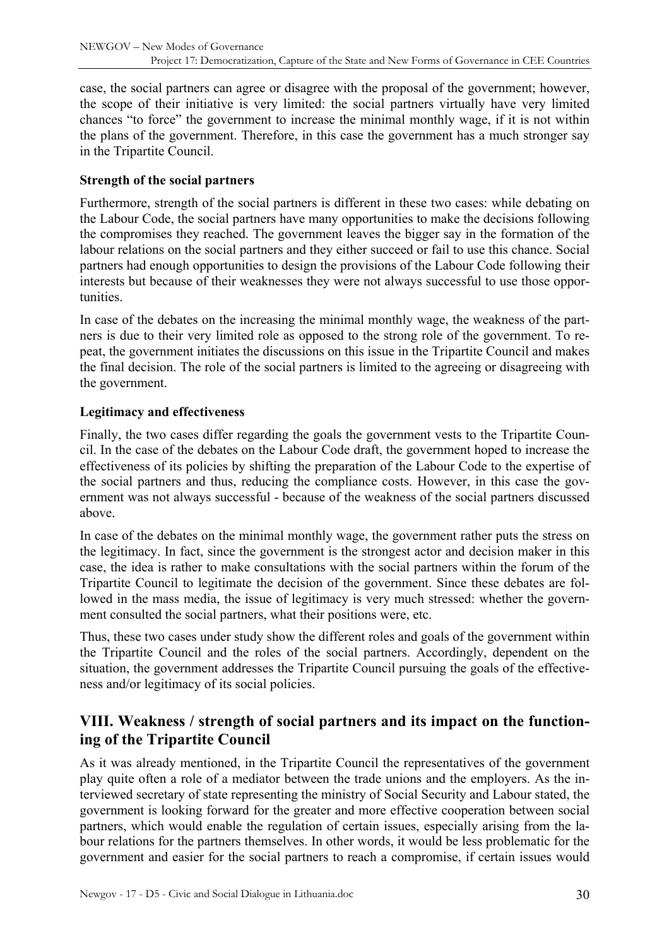<span id="page-29-0"></span>case, the social partners can agree or disagree with the proposal of the government; however, the scope of their initiative is very limited: the social partners virtually have very limited chances "to force" the government to increase the minimal monthly wage, if it is not within the plans of the government. Therefore, in this case the government has a much stronger say in the Tripartite Council.

### **Strength of the social partners**

Furthermore, strength of the social partners is different in these two cases: while debating on the Labour Code, the social partners have many opportunities to make the decisions following the compromises they reached. The government leaves the bigger say in the formation of the labour relations on the social partners and they either succeed or fail to use this chance. Social partners had enough opportunities to design the provisions of the Labour Code following their interests but because of their weaknesses they were not always successful to use those opportunities.

In case of the debates on the increasing the minimal monthly wage, the weakness of the partners is due to their very limited role as opposed to the strong role of the government. To repeat, the government initiates the discussions on this issue in the Tripartite Council and makes the final decision. The role of the social partners is limited to the agreeing or disagreeing with the government.

### **Legitimacy and effectiveness**

Finally, the two cases differ regarding the goals the government vests to the Tripartite Council. In the case of the debates on the Labour Code draft, the government hoped to increase the effectiveness of its policies by shifting the preparation of the Labour Code to the expertise of the social partners and thus, reducing the compliance costs. However, in this case the government was not always successful - because of the weakness of the social partners discussed above.

In case of the debates on the minimal monthly wage, the government rather puts the stress on the legitimacy. In fact, since the government is the strongest actor and decision maker in this case, the idea is rather to make consultations with the social partners within the forum of the Tripartite Council to legitimate the decision of the government. Since these debates are followed in the mass media, the issue of legitimacy is very much stressed: whether the government consulted the social partners, what their positions were, etc.

Thus, these two cases under study show the different roles and goals of the government within the Tripartite Council and the roles of the social partners. Accordingly, dependent on the situation, the government addresses the Tripartite Council pursuing the goals of the effectiveness and/or legitimacy of its social policies.

# **VIII. Weakness / strength of social partners and its impact on the functioning of the Tripartite Council**

As it was already mentioned, in the Tripartite Council the representatives of the government play quite often a role of a mediator between the trade unions and the employers. As the interviewed secretary of state representing the ministry of Social Security and Labour stated, the government is looking forward for the greater and more effective cooperation between social partners, which would enable the regulation of certain issues, especially arising from the labour relations for the partners themselves. In other words, it would be less problematic for the government and easier for the social partners to reach a compromise, if certain issues would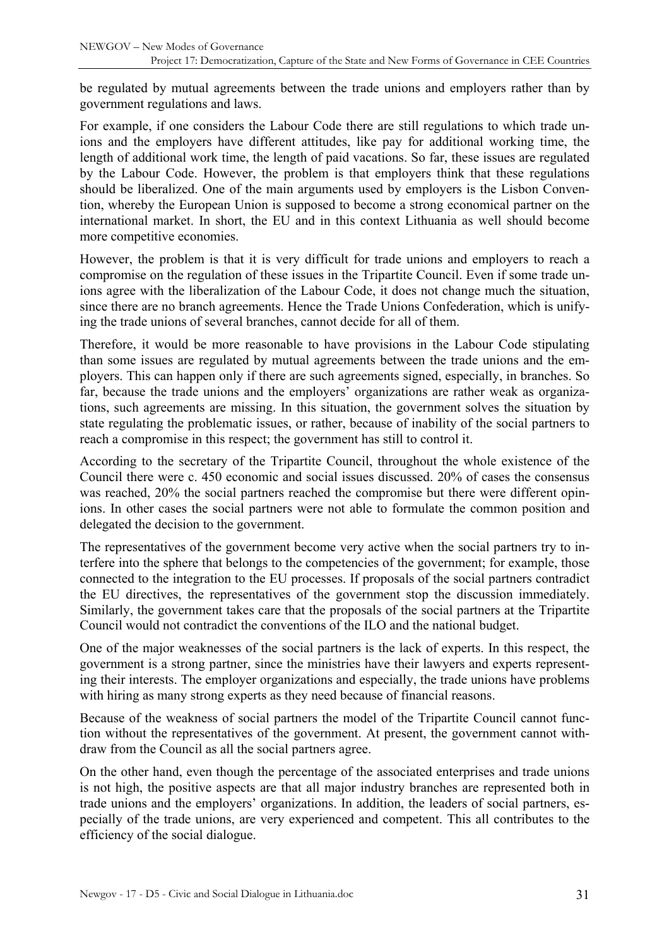be regulated by mutual agreements between the trade unions and employers rather than by government regulations and laws.

For example, if one considers the Labour Code there are still regulations to which trade unions and the employers have different attitudes, like pay for additional working time, the length of additional work time, the length of paid vacations. So far, these issues are regulated by the Labour Code. However, the problem is that employers think that these regulations should be liberalized. One of the main arguments used by employers is the Lisbon Convention, whereby the European Union is supposed to become a strong economical partner on the international market. In short, the EU and in this context Lithuania as well should become more competitive economies.

However, the problem is that it is very difficult for trade unions and employers to reach a compromise on the regulation of these issues in the Tripartite Council. Even if some trade unions agree with the liberalization of the Labour Code, it does not change much the situation, since there are no branch agreements. Hence the Trade Unions Confederation, which is unifying the trade unions of several branches, cannot decide for all of them.

Therefore, it would be more reasonable to have provisions in the Labour Code stipulating than some issues are regulated by mutual agreements between the trade unions and the employers. This can happen only if there are such agreements signed, especially, in branches. So far, because the trade unions and the employers' organizations are rather weak as organizations, such agreements are missing. In this situation, the government solves the situation by state regulating the problematic issues, or rather, because of inability of the social partners to reach a compromise in this respect; the government has still to control it.

According to the secretary of the Tripartite Council, throughout the whole existence of the Council there were c. 450 economic and social issues discussed. 20% of cases the consensus was reached, 20% the social partners reached the compromise but there were different opinions. In other cases the social partners were not able to formulate the common position and delegated the decision to the government.

The representatives of the government become very active when the social partners try to interfere into the sphere that belongs to the competencies of the government; for example, those connected to the integration to the EU processes. If proposals of the social partners contradict the EU directives, the representatives of the government stop the discussion immediately. Similarly, the government takes care that the proposals of the social partners at the Tripartite Council would not contradict the conventions of the ILO and the national budget.

One of the major weaknesses of the social partners is the lack of experts. In this respect, the government is a strong partner, since the ministries have their lawyers and experts representing their interests. The employer organizations and especially, the trade unions have problems with hiring as many strong experts as they need because of financial reasons.

Because of the weakness of social partners the model of the Tripartite Council cannot function without the representatives of the government. At present, the government cannot withdraw from the Council as all the social partners agree.

On the other hand, even though the percentage of the associated enterprises and trade unions is not high, the positive aspects are that all major industry branches are represented both in trade unions and the employers' organizations. In addition, the leaders of social partners, especially of the trade unions, are very experienced and competent. This all contributes to the efficiency of the social dialogue.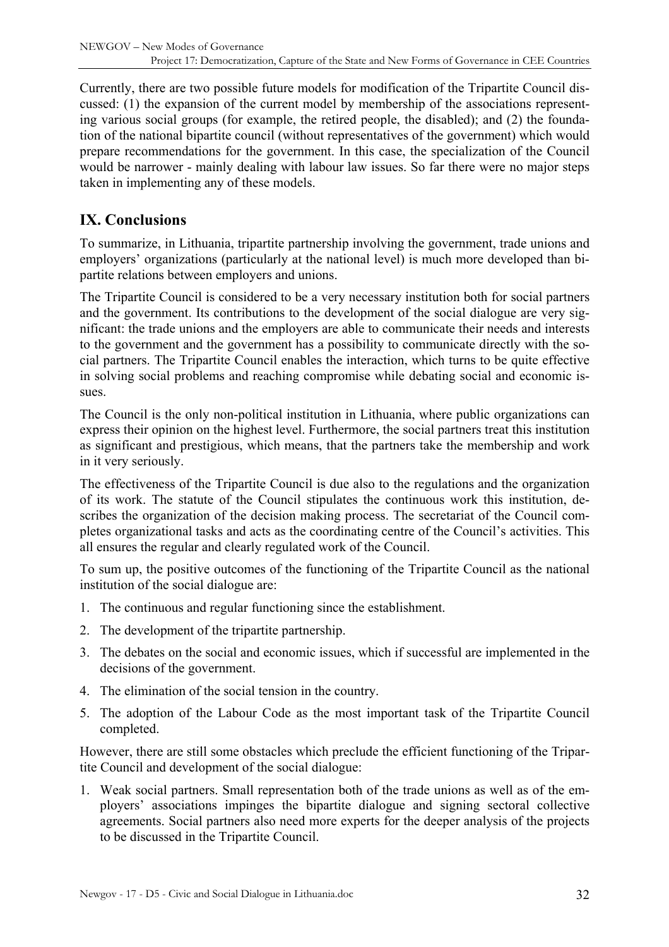<span id="page-31-0"></span>Currently, there are two possible future models for modification of the Tripartite Council discussed: (1) the expansion of the current model by membership of the associations representing various social groups (for example, the retired people, the disabled); and (2) the foundation of the national bipartite council (without representatives of the government) which would prepare recommendations for the government. In this case, the specialization of the Council would be narrower - mainly dealing with labour law issues. So far there were no major steps taken in implementing any of these models.

### **IX. Conclusions**

To summarize, in Lithuania, tripartite partnership involving the government, trade unions and employers' organizations (particularly at the national level) is much more developed than bipartite relations between employers and unions.

The Tripartite Council is considered to be a very necessary institution both for social partners and the government. Its contributions to the development of the social dialogue are very significant: the trade unions and the employers are able to communicate their needs and interests to the government and the government has a possibility to communicate directly with the social partners. The Tripartite Council enables the interaction, which turns to be quite effective in solving social problems and reaching compromise while debating social and economic issues.

The Council is the only non-political institution in Lithuania, where public organizations can express their opinion on the highest level. Furthermore, the social partners treat this institution as significant and prestigious, which means, that the partners take the membership and work in it very seriously.

The effectiveness of the Tripartite Council is due also to the regulations and the organization of its work. The statute of the Council stipulates the continuous work this institution, describes the organization of the decision making process. The secretariat of the Council completes organizational tasks and acts as the coordinating centre of the Council's activities. This all ensures the regular and clearly regulated work of the Council.

To sum up, the positive outcomes of the functioning of the Tripartite Council as the national institution of the social dialogue are:

- 1. The continuous and regular functioning since the establishment.
- 2. The development of the tripartite partnership.
- 3. The debates on the social and economic issues, which if successful are implemented in the decisions of the government.
- 4. The elimination of the social tension in the country.
- 5. The adoption of the Labour Code as the most important task of the Tripartite Council completed.

However, there are still some obstacles which preclude the efficient functioning of the Tripartite Council and development of the social dialogue:

1. Weak social partners. Small representation both of the trade unions as well as of the employers' associations impinges the bipartite dialogue and signing sectoral collective agreements. Social partners also need more experts for the deeper analysis of the projects to be discussed in the Tripartite Council.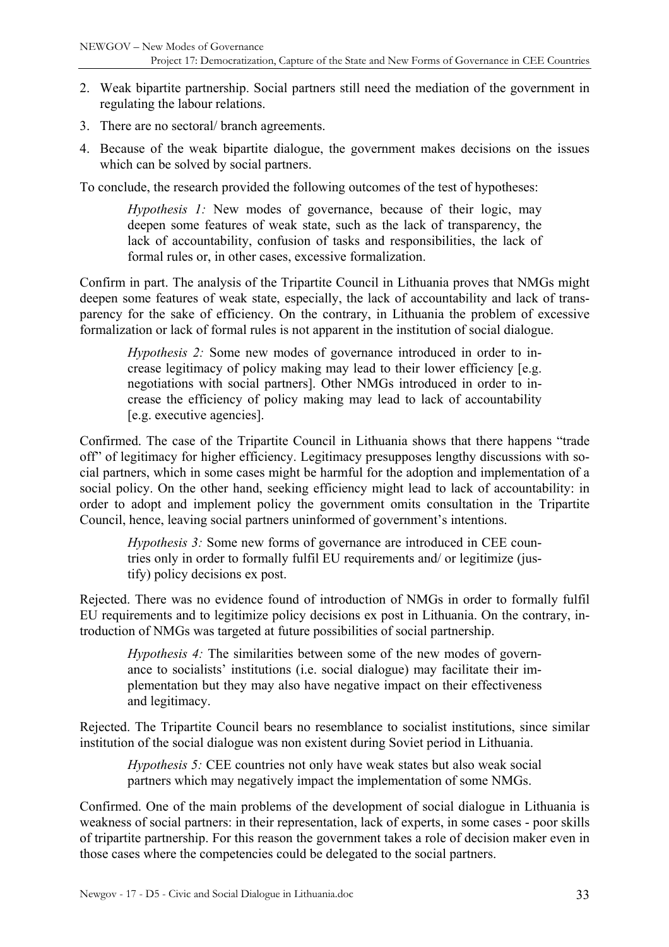- 2. Weak bipartite partnership. Social partners still need the mediation of the government in regulating the labour relations.
- 3. There are no sectoral/ branch agreements.
- 4. Because of the weak bipartite dialogue, the government makes decisions on the issues which can be solved by social partners.

To conclude, the research provided the following outcomes of the test of hypotheses:

*Hypothesis 1:* New modes of governance, because of their logic, may deepen some features of weak state, such as the lack of transparency, the lack of accountability, confusion of tasks and responsibilities, the lack of formal rules or, in other cases, excessive formalization.

Confirm in part. The analysis of the Tripartite Council in Lithuania proves that NMGs might deepen some features of weak state, especially, the lack of accountability and lack of transparency for the sake of efficiency. On the contrary, in Lithuania the problem of excessive formalization or lack of formal rules is not apparent in the institution of social dialogue.

*Hypothesis 2:* Some new modes of governance introduced in order to increase legitimacy of policy making may lead to their lower efficiency [e.g. negotiations with social partners]. Other NMGs introduced in order to increase the efficiency of policy making may lead to lack of accountability [e.g. executive agencies].

Confirmed. The case of the Tripartite Council in Lithuania shows that there happens "trade off" of legitimacy for higher efficiency. Legitimacy presupposes lengthy discussions with social partners, which in some cases might be harmful for the adoption and implementation of a social policy. On the other hand, seeking efficiency might lead to lack of accountability: in order to adopt and implement policy the government omits consultation in the Tripartite Council, hence, leaving social partners uninformed of government's intentions.

*Hypothesis 3:* Some new forms of governance are introduced in CEE countries only in order to formally fulfil EU requirements and/ or legitimize (justify) policy decisions ex post.

Rejected. There was no evidence found of introduction of NMGs in order to formally fulfil EU requirements and to legitimize policy decisions ex post in Lithuania. On the contrary, introduction of NMGs was targeted at future possibilities of social partnership.

*Hypothesis 4:* The similarities between some of the new modes of governance to socialists' institutions (i.e. social dialogue) may facilitate their implementation but they may also have negative impact on their effectiveness and legitimacy.

Rejected. The Tripartite Council bears no resemblance to socialist institutions, since similar institution of the social dialogue was non existent during Soviet period in Lithuania.

*Hypothesis 5:* CEE countries not only have weak states but also weak social partners which may negatively impact the implementation of some NMGs.

Confirmed. One of the main problems of the development of social dialogue in Lithuania is weakness of social partners: in their representation, lack of experts, in some cases - poor skills of tripartite partnership. For this reason the government takes a role of decision maker even in those cases where the competencies could be delegated to the social partners.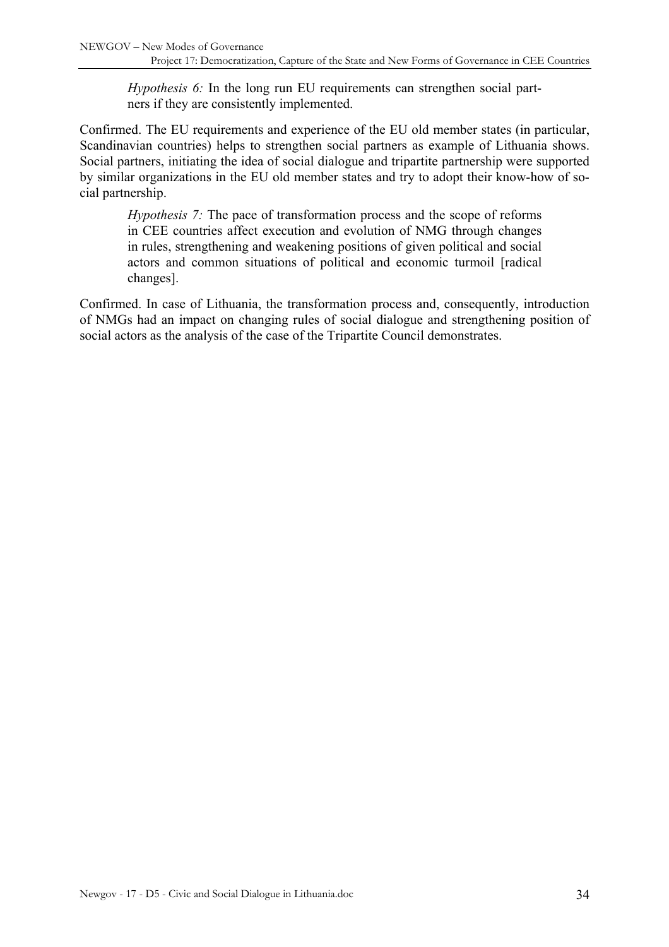*Hypothesis 6:* In the long run EU requirements can strengthen social partners if they are consistently implemented.

Confirmed. The EU requirements and experience of the EU old member states (in particular, Scandinavian countries) helps to strengthen social partners as example of Lithuania shows. Social partners, initiating the idea of social dialogue and tripartite partnership were supported by similar organizations in the EU old member states and try to adopt their know-how of social partnership.

*Hypothesis 7:* The pace of transformation process and the scope of reforms in CEE countries affect execution and evolution of NMG through changes in rules, strengthening and weakening positions of given political and social actors and common situations of political and economic turmoil [radical changes].

Confirmed. In case of Lithuania, the transformation process and, consequently, introduction of NMGs had an impact on changing rules of social dialogue and strengthening position of social actors as the analysis of the case of the Tripartite Council demonstrates.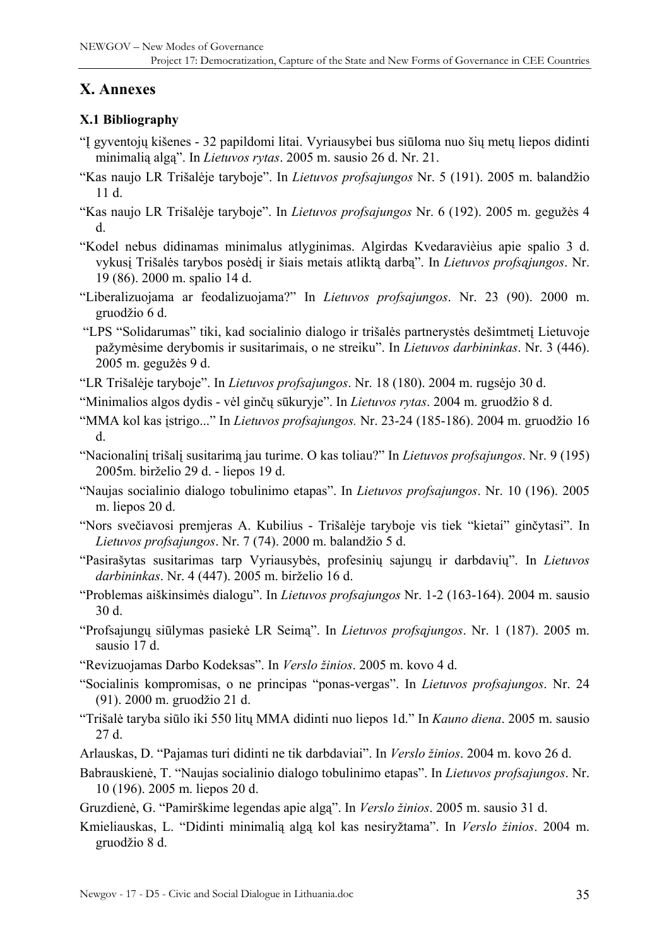# <span id="page-34-0"></span>**X. Annexes**

### **X.1 Bibliography**

- "Į gyventojų kišenes 32 papildomi litai. Vyriausybei bus siūloma nuo šių metų liepos didinti minimalią algą". In *Lietuvos rytas*. 2005 m. sausio 26 d. Nr. 21.
- "Kas naujo LR Trišalėje taryboje". In *Lietuvos profsajungos* Nr. 5 (191). 2005 m. balandžio 11 d.
- "Kas naujo LR Trišalėje taryboje". In *Lietuvos profsajungos* Nr. 6 (192). 2005 m. gegužės 4 d.
- "Kodel nebus didinamas minimalus atlyginimas. Algirdas Kvedaravièius apie spalio 3 d. vykusį Trišalės tarybos posėdį ir šiais metais atliktą darbą". In *Lietuvos profsąjungos*. Nr. 19 (86). 2000 m. spalio 14 d.
- "Liberalizuojama ar feodalizuojama?" In *Lietuvos profsajungos*. Nr. 23 (90). 2000 m. gruodžio 6 d.
- "LPS "Solidarumas" tiki, kad socialinio dialogo ir trišalės partnerystės dešimtmetį Lietuvoje pažymėsime derybomis ir susitarimais, o ne streiku". In *Lietuvos darbininkas*. Nr. 3 (446). 2005 m. gegužės 9 d.
- "LR Trišalėje taryboje". In *Lietuvos profsajungos*. Nr. 18 (180). 2004 m. rugsėjo 30 d.
- "Minimalios algos dydis vėl ginčų sūkuryje". In *Lietuvos rytas*. 2004 m. gruodžio 8 d.
- "MMA kol kas įstrigo..." In *Lietuvos profsajungos.* Nr. 23-24 (185-186). 2004 m. gruodžio 16 d.
- "Nacionalinį trišalį susitarimą jau turime. O kas toliau?" In *Lietuvos profsajungos*. Nr. 9 (195) 2005m. birželio 29 d. - liepos 19 d.
- "Naujas socialinio dialogo tobulinimo etapas". In *Lietuvos profsajungos*. Nr. 10 (196). 2005 m. liepos 20 d.
- "Nors svečiavosi premjeras A. Kubilius Trišalėje taryboje vis tiek "kietai" ginčytasi". In *Lietuvos profsajungos*. Nr. 7 (74). 2000 m. balandžio 5 d.
- "Pasirašytas susitarimas tarp Vyriausybės, profesinių sajungų ir darbdavių". In *Lietuvos darbininkas*. Nr. 4 (447). 2005 m. birželio 16 d.
- "Problemas aiškinsimės dialogu". In *Lietuvos profsajungos* Nr. 1-2 (163-164). 2004 m. sausio 30 d.
- "Profsajungų siūlymas pasiekė LR Seimą". In *Lietuvos profsąjungos*. Nr. 1 (187). 2005 m. sausio 17 d.
- "Revizuojamas Darbo Kodeksas". In *Verslo žinios*. 2005 m. kovo 4 d.
- "Socialinis kompromisas, o ne principas "ponas-vergas". In *Lietuvos profsajungos*. Nr. 24 (91). 2000 m. gruodžio 21 d.
- "Trišalė taryba siūlo iki 550 litų MMA didinti nuo liepos 1d." In *Kauno diena*. 2005 m. sausio 27 d.
- Arlauskas, D. "Pajamas turi didinti ne tik darbdaviai". In *Verslo žinios*. 2004 m. kovo 26 d.
- Babrauskienė, T. "Naujas socialinio dialogo tobulinimo etapas". In *Lietuvos profsajungos*. Nr. 10 (196). 2005 m. liepos 20 d.
- Gruzdienė, G. "Pamirškime legendas apie algą". In *Verslo žinios*. 2005 m. sausio 31 d.
- Kmieliauskas, L. "Didinti minimalią algą kol kas nesiryžtama". In *Verslo žinios*. 2004 m. gruodžio 8 d.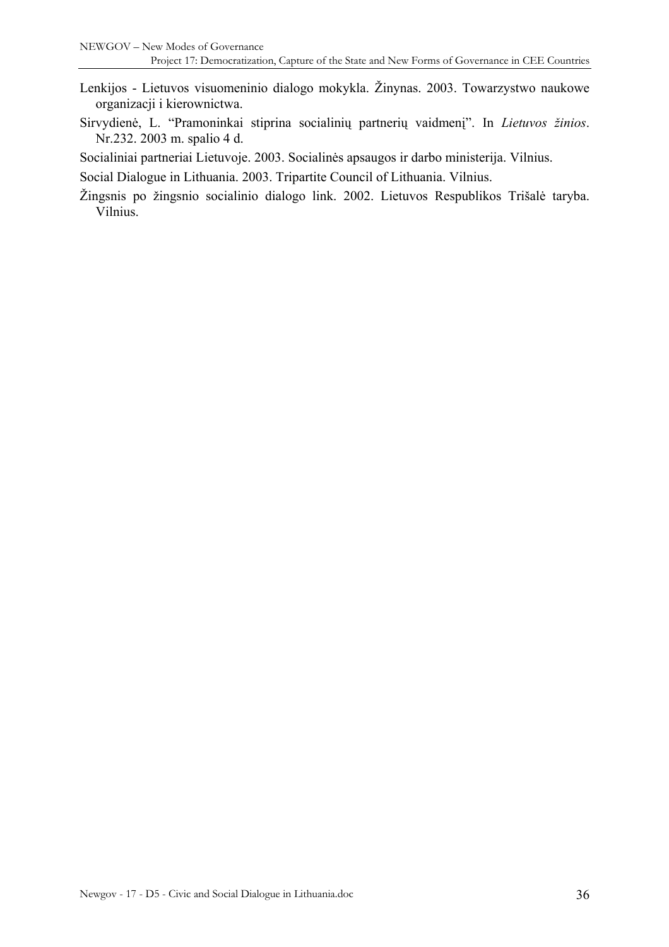- Lenkijos Lietuvos visuomeninio dialogo mokykla. Žinynas. 2003. Towarzystwo naukowe organizacji i kierownictwa.
- Sirvydienė, L. "Pramoninkai stiprina socialinių partnerių vaidmenį". In *Lietuvos žinios*. Nr.232. 2003 m. spalio 4 d.

Socialiniai partneriai Lietuvoje. 2003. Socialinės apsaugos ir darbo ministerija. Vilnius.

Social Dialogue in Lithuania. 2003. Tripartite Council of Lithuania. Vilnius.

Žingsnis po žingsnio socialinio dialogo link. 2002. Lietuvos Respublikos Trišalė taryba. Vilnius.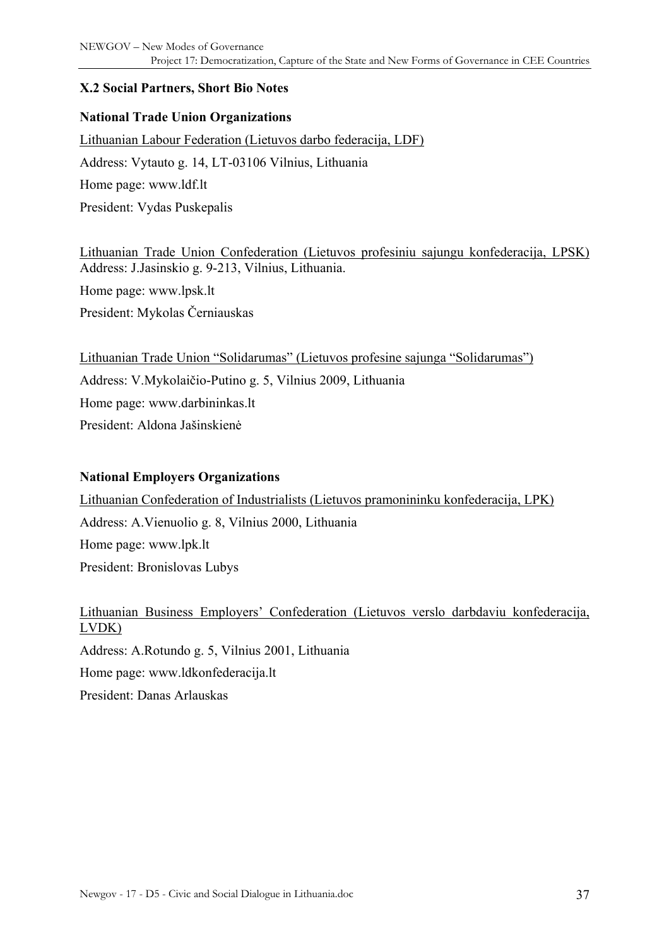#### <span id="page-36-0"></span>**X.2 Social Partners, Short Bio Notes**

#### **National Trade Union Organizations**

Lithuanian Labour Federation (Lietuvos darbo federacija, LDF) Address: Vytauto g. 14, LT-03106 Vilnius, Lithuania Home page: www.ldf.lt President: Vydas Puskepalis

Lithuanian Trade Union Confederation (Lietuvos profesiniu sajungu konfederacija, LPSK) Address: J.Jasinskio g. 9-213, Vilnius, Lithuania. Home page: www.lpsk.lt President: Mykolas Černiauskas

Lithuanian Trade Union "Solidarumas" (Lietuvos profesine sajunga "Solidarumas") Address: V.Mykolaičio-Putino g. 5, Vilnius 2009, Lithuania Home page: www.darbininkas.lt President: Aldona Jašinskienė

#### **National Employers Organizations**

Lithuanian Confederation of Industrialists (Lietuvos pramonininku konfederacija, LPK) Address: A.Vienuolio g. 8, Vilnius 2000, Lithuania Home page: www.lpk.lt President: Bronislovas Lubys

Lithuanian Business Employers' Confederation (Lietuvos verslo darbdaviu konfederacija, LVDK) Address: A.Rotundo g. 5, Vilnius 2001, Lithuania Home page: www.ldkonfederacija.lt President: Danas Arlauskas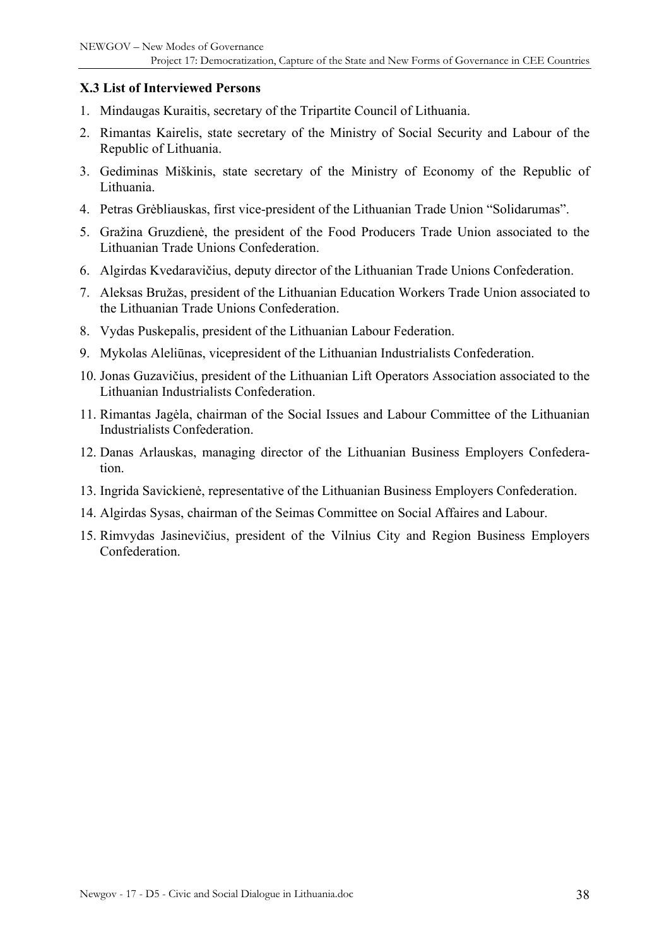#### <span id="page-37-0"></span>**X.3 List of Interviewed Persons**

- 1. Mindaugas Kuraitis, secretary of the Tripartite Council of Lithuania.
- 2. Rimantas Kairelis, state secretary of the Ministry of Social Security and Labour of the Republic of Lithuania.
- 3. Gediminas Miškinis, state secretary of the Ministry of Economy of the Republic of Lithuania.
- 4. Petras Grėbliauskas, first vice-president of the Lithuanian Trade Union "Solidarumas".
- 5. Gražina Gruzdienė, the president of the Food Producers Trade Union associated to the Lithuanian Trade Unions Confederation.
- 6. Algirdas Kvedaravičius, deputy director of the Lithuanian Trade Unions Confederation.
- 7. Aleksas Bružas, president of the Lithuanian Education Workers Trade Union associated to the Lithuanian Trade Unions Confederation.
- 8. Vydas Puskepalis, president of the Lithuanian Labour Federation.
- 9. Mykolas Aleliūnas, vicepresident of the Lithuanian Industrialists Confederation.
- 10. Jonas Guzavičius, president of the Lithuanian Lift Operators Association associated to the Lithuanian Industrialists Confederation.
- 11. Rimantas Jagėla, chairman of the Social Issues and Labour Committee of the Lithuanian Industrialists Confederation.
- 12. Danas Arlauskas, managing director of the Lithuanian Business Employers Confederation.
- 13. Ingrida Savickienė, representative of the Lithuanian Business Employers Confederation.
- 14. Algirdas Sysas, chairman of the Seimas Committee on Social Affaires and Labour.
- 15. Rimvydas Jasinevičius, president of the Vilnius City and Region Business Employers **Confederation**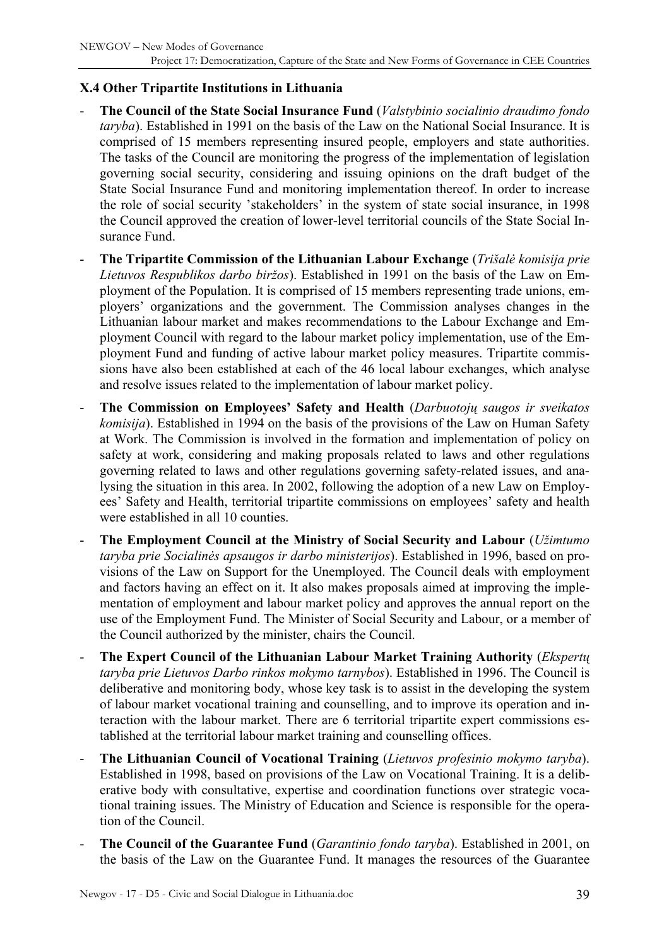### <span id="page-38-0"></span>**X.4 Other Tripartite Institutions in Lithuania**

- **The Council of the State Social Insurance Fund** (*Valstybinio socialinio draudimo fondo taryba*). Established in 1991 on the basis of the Law on the National Social Insurance. It is comprised of 15 members representing insured people, employers and state authorities. The tasks of the Council are monitoring the progress of the implementation of legislation governing social security, considering and issuing opinions on the draft budget of the State Social Insurance Fund and monitoring implementation thereof. In order to increase the role of social security 'stakeholders' in the system of state social insurance, in 1998 the Council approved the creation of lower-level territorial councils of the State Social Insurance Fund.
- **The Tripartite Commission of the Lithuanian Labour Exchange** (*Trišalė komisija prie Lietuvos Respublikos darbo biržos*). Established in 1991 on the basis of the Law on Employment of the Population. It is comprised of 15 members representing trade unions, employers' organizations and the government. The Commission analyses changes in the Lithuanian labour market and makes recommendations to the Labour Exchange and Employment Council with regard to the labour market policy implementation, use of the Employment Fund and funding of active labour market policy measures. Tripartite commissions have also been established at each of the 46 local labour exchanges, which analyse and resolve issues related to the implementation of labour market policy.
- **The Commission on Employees' Safety and Health** (*Darbuotojų saugos ir sveikatos komisija*). Established in 1994 on the basis of the provisions of the Law on Human Safety at Work. The Commission is involved in the formation and implementation of policy on safety at work, considering and making proposals related to laws and other regulations governing related to laws and other regulations governing safety-related issues, and analysing the situation in this area. In 2002, following the adoption of a new Law on Employees' Safety and Health, territorial tripartite commissions on employees' safety and health were established in all 10 counties.
- **The Employment Council at the Ministry of Social Security and Labour** (*Užimtumo taryba prie Socialinės apsaugos ir darbo ministerijos*). Established in 1996, based on provisions of the Law on Support for the Unemployed. The Council deals with employment and factors having an effect on it. It also makes proposals aimed at improving the implementation of employment and labour market policy and approves the annual report on the use of the Employment Fund. The Minister of Social Security and Labour, or a member of the Council authorized by the minister, chairs the Council.
- **The Expert Council of the Lithuanian Labour Market Training Authority** (*Ekspertų taryba prie Lietuvos Darbo rinkos mokymo tarnybos*). Established in 1996. The Council is deliberative and monitoring body, whose key task is to assist in the developing the system of labour market vocational training and counselling, and to improve its operation and interaction with the labour market. There are 6 territorial tripartite expert commissions established at the territorial labour market training and counselling offices.
- **The Lithuanian Council of Vocational Training** (*Lietuvos profesinio mokymo taryba*). Established in 1998, based on provisions of the Law on Vocational Training. It is a deliberative body with consultative, expertise and coordination functions over strategic vocational training issues. The Ministry of Education and Science is responsible for the operation of the Council.
- **The Council of the Guarantee Fund** (*Garantinio fondo taryba*). Established in 2001, on the basis of the Law on the Guarantee Fund. It manages the resources of the Guarantee